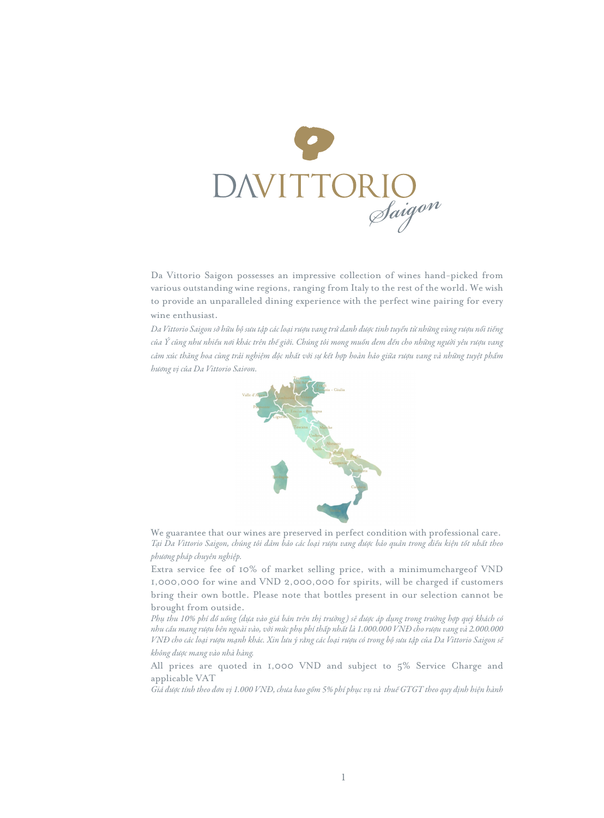

Da Vittorio Saigon possesses an impressive collection of wines hand-picked from various outstanding wine regions, ranging from Italy to the rest of the world. We wish to provide an unparalleled dining experience with the perfect wine pairing for every wine enthusiast.

*Da Vittorio Saigon sở hữu bộ sưu tập các loại rượu vang trứ danh được tinh tuyển từ những vùng rượu nổi tiếng của Ý cũng như nhiều nơi khác trên thế giới. Chúng tôi mong muốn đem đến cho những người yêu rượu vang cảm xúc thăng hoa cùng trải nghiệm độc nhất với sự kết hợp hoàn hảo giữa rượu vang và những tuyệt phẩm hương vị của Da Vittorio Saigon.*



We guarantee that our wines are preserved in perfect condition with professional care. *Tại Da Vittorio Saigon, chúng tôi đảm bảo các loại rượu vang được bảo quản trong điều kiện tốt nhất theo phương pháp chuyên nghiệp.* 

Extra service fee of 10% of market selling price, with a minimumchargeof VND 1,000,000 for wine and VND 2,000,000 for spirits, will be charged if customers bring their own bottle. Please note that bottles present in our selection cannot be brought from outside.

*Phụ thu 10% phí đồ uống (dựa vào giá bán trên thị trường) sẽ được áp dụng trong trường hợp quý khách có nhu cầu mang rượu bên ngoài vào, với mức phụ phí thấp nhất là 1.000.000 VNĐ cho rượu vang và 2.000.000 VNĐ cho các loại rượu mạnh khác. Xin lưu ý rằng các loại rượu có trong bộ sưu tập của Da Vittorio Saigon sẽ không được mang vào nhà hàng.* 

All prices are quoted in 1,000 VND and subject to 5% Service Charge and applicable VAT

*Giá được tính theo đơn vị 1.000 VNĐ, chưa bao gồm 5% phí phục vụ và thuế GTGT theo quy định hiện hành*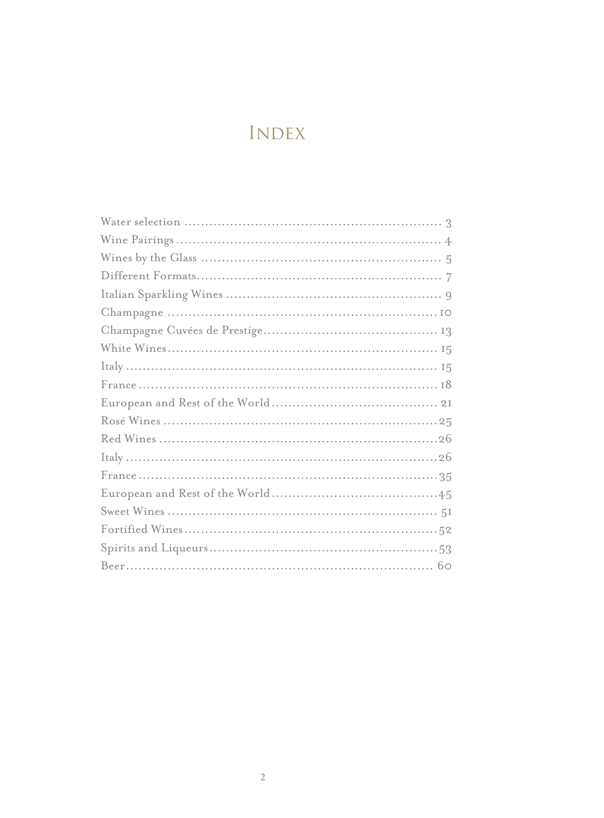# INDEX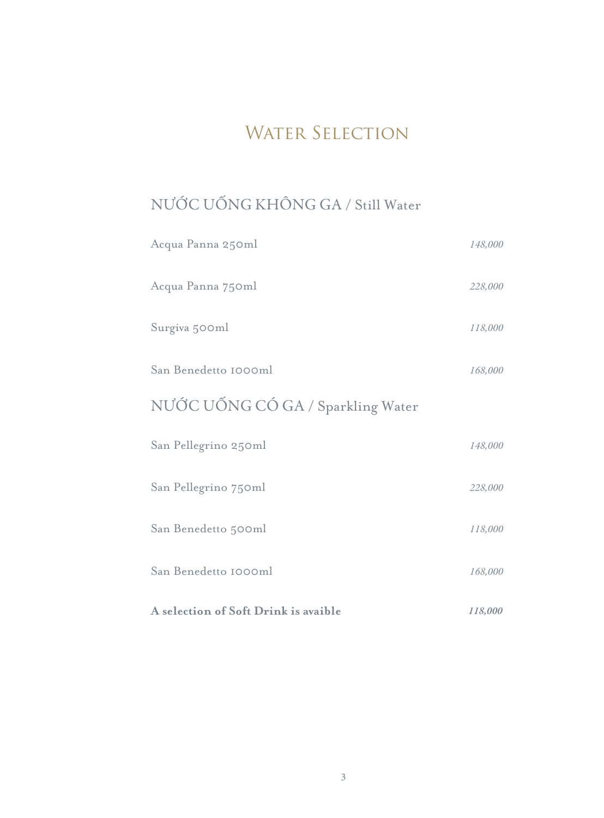# WATER SELECTION

# NƯỚC UỐNG KHÔNG GA / Still Water

| Acqua Panna 250ml                    | 148,000 |
|--------------------------------------|---------|
| Acqua Panna 750ml                    | 228,000 |
| Surgiva 500ml                        | 118,000 |
| San Benedetto 1000ml                 | 168,000 |
| NƯỚC UỐNG CÓ GA / Sparkling Water    |         |
| San Pellegrino 250ml                 | 148,000 |
| San Pellegrino 750ml                 | 228,000 |
| San Benedetto 500ml                  | 118,000 |
| San Benedetto 1000ml                 | 168,000 |
| A selection of Soft Drink is avaible | 118,000 |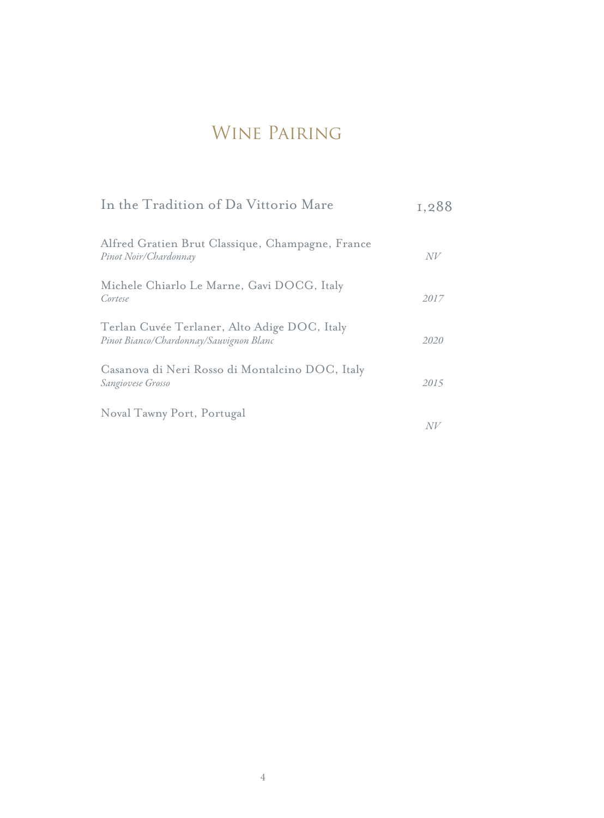## WINE PAIRING

| In the Tradition of Da Vittorio Mare                                                    | 1,288 |
|-----------------------------------------------------------------------------------------|-------|
| Alfred Gratien Brut Classique, Champagne, France<br>Pinot Noir/Chardonnay               | N V   |
| Michele Chiarlo Le Marne, Gavi DOCG, Italy<br>Cortese                                   | 2017  |
| Terlan Cuvée Terlaner, Alto Adige DOC, Italy<br>Pinot Bianco/Chardonnay/Sauvignon Blanc | 2020  |
| Casanova di Neri Rosso di Montalcino DOC, Italy<br>Sangiovese Grosso                    | 2015  |
| Noval Tawny Port, Portugal                                                              | N V   |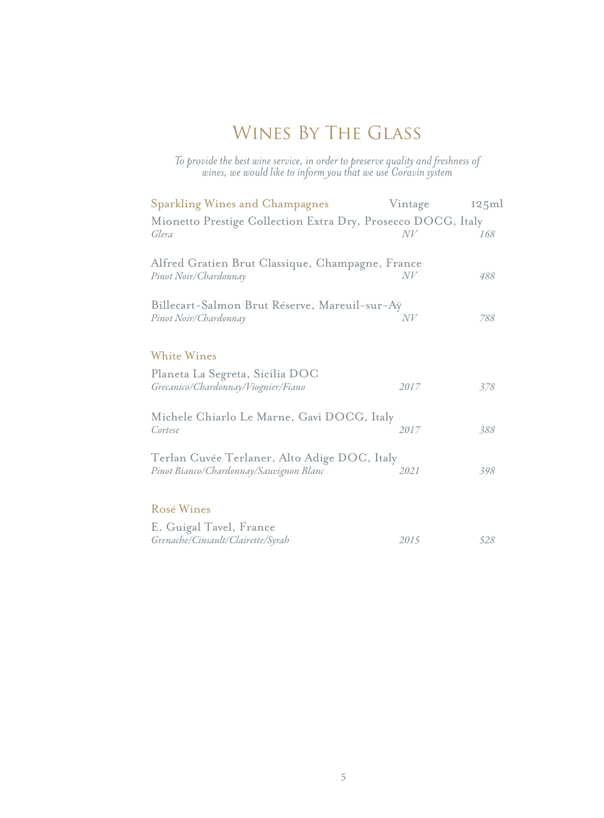# Wines By The Glass

*To provide the best wine service, in order to preserve quality and freshness of wines, we would like to inform you that we use Coravin system*

| <b>Sparkling Wines and Champagnes</b>                                     | Vintage | 125ml |
|---------------------------------------------------------------------------|---------|-------|
| Mionetto Prestige Collection Extra Dry, Prosecco DOCG, Italy<br>Glera     | N V     | 168   |
|                                                                           |         |       |
| Alfred Gratien Brut Classique, Champagne, France<br>Pinot Noir/Chardonnay | N V     | 488   |
| Billecart-Salmon Brut Réserve, Mareuil-sur-Aÿ                             |         |       |
| Pinot Noir/Chardonnay                                                     | $N\!V$  | 788   |
| <b>White Wines</b>                                                        |         |       |
| Planeta La Segreta, Sicilia DOC<br>Grecanico/Chardonnay/Viognier/Fiano    | 2017    | 378   |
| Michele Chiarlo Le Marne, Gavi DOCG, Italy                                |         |       |
| Cortese                                                                   | 2017    | 388   |
| Terlan Cuvée Terlaner, Alto Adige DOC, Italy                              |         |       |
| Pinot Bianco/Chardonnay/Sauvignon Blanc                                   | 2021    | 398   |
| Rosé Wines                                                                |         |       |
| E. Guigal Tavel, France<br>Grenache/Cinsault/Clairette/Syrah              | 2015    | 528   |
|                                                                           |         |       |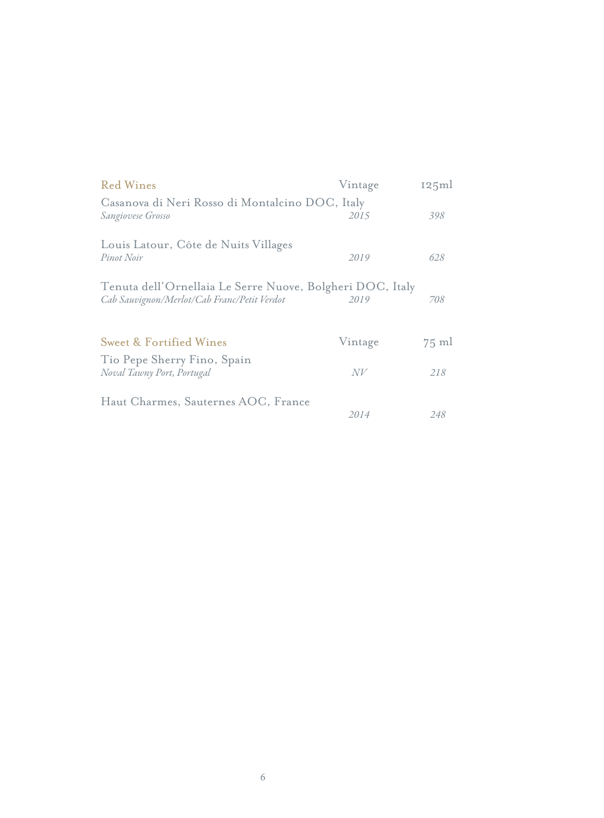| <b>Red Wines</b>                                                                                         | Vintage | 125ml           |
|----------------------------------------------------------------------------------------------------------|---------|-----------------|
| Casanova di Neri Rosso di Montalcino DOC, Italy<br>Sangiovese Grosso                                     | 2015    | 398             |
| Louis Latour, Côte de Nuits Villages<br>Pinot Noir                                                       | 2019    | 628             |
| Tenuta dell'Ornellaia Le Serre Nuove, Bolgheri DOC, Italy<br>Cab Sauvignon/Merlot/Cab Franc/Petit Verdot | 2019    | 708             |
| <b>Sweet &amp; Fortified Wines</b>                                                                       | Vintage | $75 \text{ ml}$ |
| Tio Pepe Sherry Fino, Spain<br>Noval Tawny Port, Portugal                                                | N V     | 218             |
| Haut Charmes, Sauternes AOC, France                                                                      | 2014    | 248             |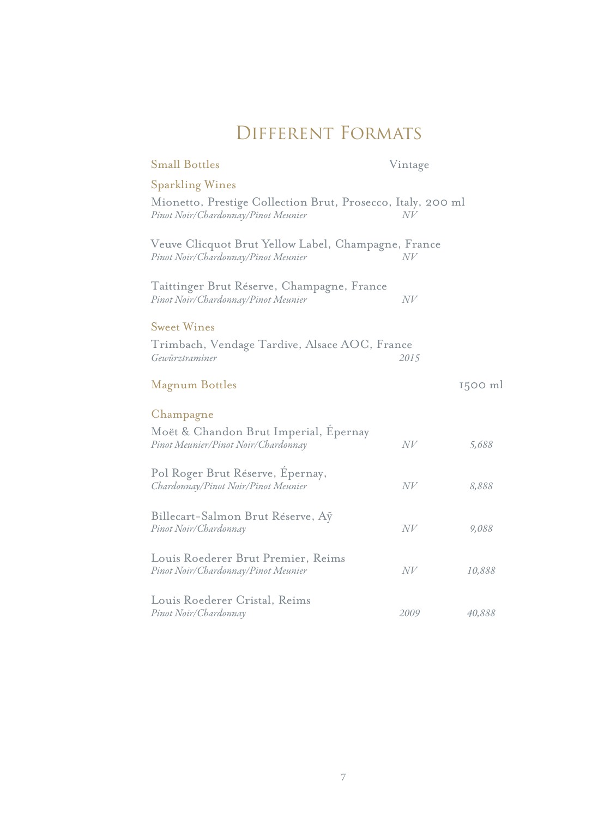# Different Formats

| <b>Small Bottles</b>                                                                               | Vintage |         |
|----------------------------------------------------------------------------------------------------|---------|---------|
| <b>Sparkling Wines</b>                                                                             |         |         |
| Mionetto, Prestige Collection Brut, Prosecco, Italy, 200 ml<br>Pinot Noir/Chardonnay/Pinot Meunier | NV      |         |
| Veuve Clicquot Brut Yellow Label, Champagne, France<br>Pinot Noir/Chardonnay/Pinot Meunier         | N V     |         |
| Taittinger Brut Réserve, Champagne, France<br>Pinot Noir/Chardonnay/Pinot Meunier                  | N V     |         |
| <b>Sweet Wines</b><br>Trimbach, Vendage Tardive, Alsace AOC, France<br>Gewürztraminer              | 2015    |         |
| <b>Magnum Bottles</b>                                                                              |         | 1500 ml |
| Champagne<br>Moët & Chandon Brut Imperial, Epernay<br>Pinot Meunier/Pinot Noir/Chardonnay          | N V     | 5,688   |
| Pol Roger Brut Réserve, Epernay,<br>Chardonnay/Pinot Noir/Pinot Meunier                            | N V     | 8,888   |
| Billecart-Salmon Brut Réserve, Ay<br>Pinot Noir/Chardonnay                                         | N V     | 9,088   |
| Louis Roederer Brut Premier, Reims<br>Pinot Noir/Chardonnay/Pinot Meunier                          | N V     | 10,888  |
| Louis Roederer Cristal, Reims<br>Pinot Noir/Chardonnay                                             | 2009    | 40,888  |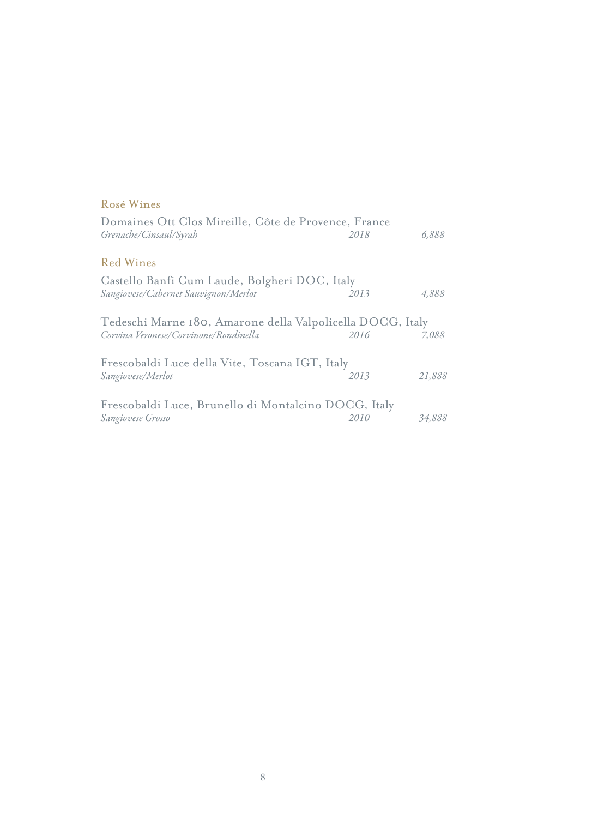#### Rosé Wines

| Domaines Ott Clos Mireille, Côte de Provence, France       |      |        |
|------------------------------------------------------------|------|--------|
| Grenache/Cinsaul/Syrah                                     | 2018 | 6,888  |
| <b>Red Wines</b>                                           |      |        |
| Castello Banfi Cum Laude, Bolgheri DOC, Italy              |      |        |
| Sangiovese/Cabernet Sauvignon/Merlot                       | 2013 | 4,888  |
| Tedeschi Marne 180, Amarone della Valpolicella DOCG, Italy |      |        |
| Corvina Veronese/Corvinone/Rondinella                      | 2016 | 7,088  |
| Frescobaldi Luce della Vite, Toscana IGT, Italy            |      |        |
| Sangiovese/Merlot                                          | 2013 | 21,888 |
| Frescobaldi Luce, Brunello di Montalcino DOCG, Italy       |      |        |
| Sangiovese Grosso                                          | 2010 | 34,888 |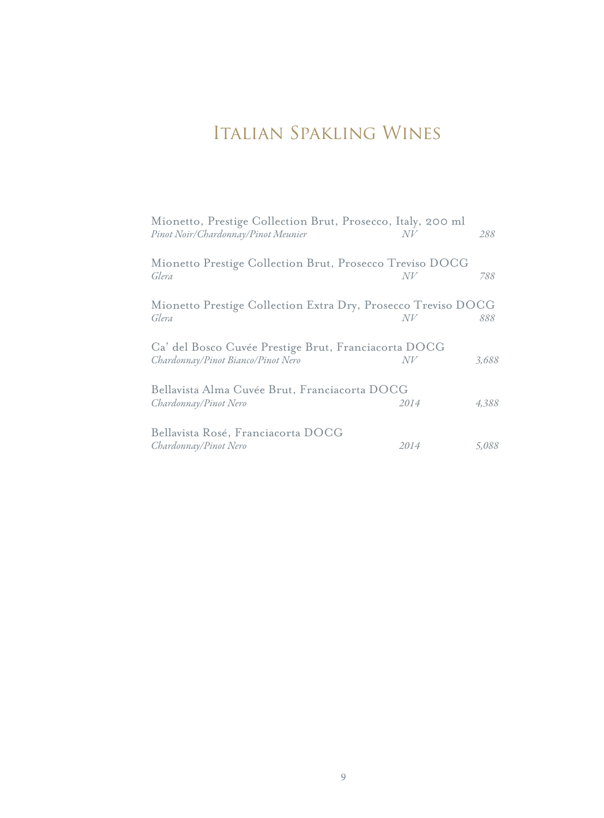# Italian Spakling Wines

| Mionetto, Prestige Collection Brut, Prosecco, Italy, 200 ml<br>Pinot Noir/Chardonnay/Pinot Meunier | N V  | 288   |
|----------------------------------------------------------------------------------------------------|------|-------|
| Mionetto Prestige Collection Brut, Prosecco Treviso DOCG<br>Glera                                  | N V  | 788   |
| Mionetto Prestige Collection Extra Dry, Prosecco Treviso DOCG<br>Glera                             |      | 888   |
| Ca' del Bosco Cuvée Prestige Brut, Franciacorta DOCG<br>Chardonnay/Pinot Bianco/Pinot Nero         | N V  | 3,688 |
| Bellavista Alma Cuvée Brut, Franciacorta DOCG<br>Chardonnay/Pinot Nero                             | 2014 | 4,388 |
| Bellavista Rosé, Franciacorta DOCG<br>Chardonnay/Pinot Nero                                        | 2014 | 5,088 |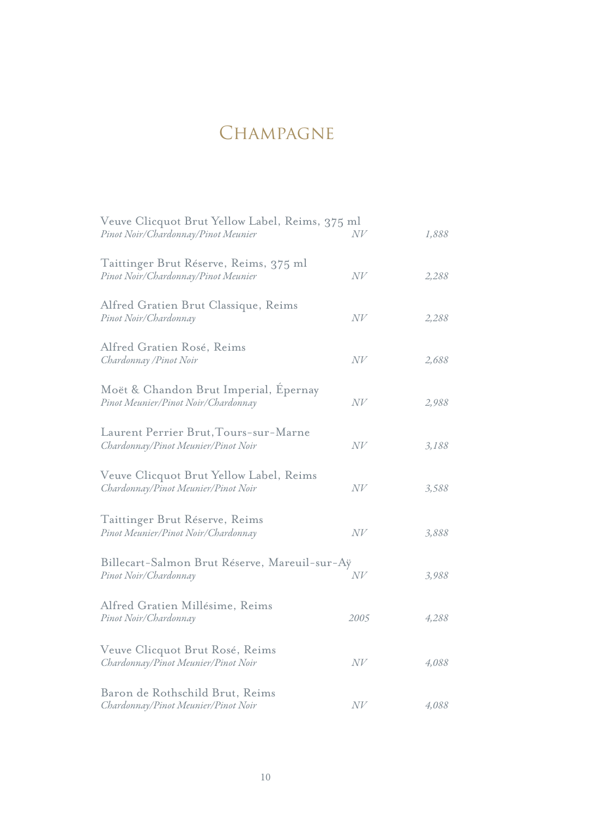## CHAMPAGNE

| Veuve Clicquot Brut Yellow Label, Reims, 375 ml<br>Pinot Noir/Chardonnay/Pinot Meunier | N V    | 1,888 |
|----------------------------------------------------------------------------------------|--------|-------|
| Taittinger Brut Réserve, Reims, 375 ml<br>Pinot Noir/Chardonnay/Pinot Meunier          | N V    | 2,288 |
| Alfred Gratien Brut Classique, Reims<br>Pinot Noir/Chardonnay                          | N V    | 2,288 |
| Alfred Gratien Rosé, Reims<br>Chardonnay / Pinot Noir                                  | N V    | 2,688 |
| Moët & Chandon Brut Imperial, Epernay<br>Pinot Meunier/Pinot Noir/Chardonnay           | N V    | 2,988 |
| Laurent Perrier Brut, Tours-sur-Marne<br>Chardonnay/Pinot Meunier/Pinot Noir           | N V    | 3,188 |
| Veuve Clicquot Brut Yellow Label, Reims<br>Chardonnay/Pinot Meunier/Pinot Noir         | N V    | 3,588 |
| Taittinger Brut Réserve, Reims<br>Pinot Meunier/Pinot Noir/Chardonnay                  | $N\!V$ | 3,888 |
| Billecart-Salmon Brut Réserve, Mareuil-sur-Aÿ<br>Pinot Noir/Chardonnay                 | N V    | 3,988 |
| Alfred Gratien Millésime, Reims<br>Pinot Noir/Chardonnay                               | 2005   | 4,288 |
| Veuve Clicquot Brut Rosé, Reims<br>Chardonnay/Pinot Meunier/Pinot Noir                 | N V    | 4,088 |
| Baron de Rothschild Brut, Reims<br>Chardonnay/Pinot Meunier/Pinot Noir                 | N V    | 4,088 |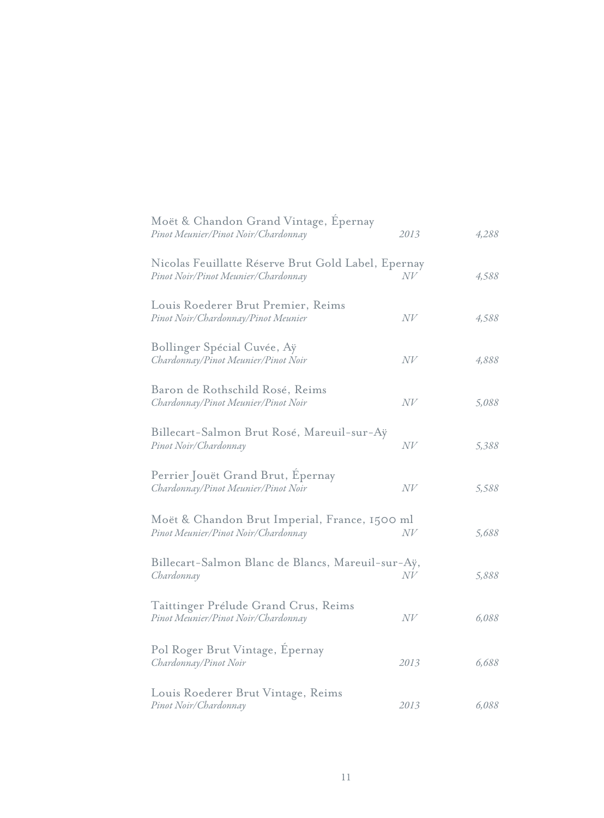| Moët & Chandon Grand Vintage, Epernay<br>Pinot Meunier/Pinot Noir/Chardonnay               | 2013   | 4,288 |
|--------------------------------------------------------------------------------------------|--------|-------|
| Nicolas Feuillatte Réserve Brut Gold Label, Epernay<br>Pinot Noir/Pinot Meunier/Chardonnay | N V    | 4,588 |
| Louis Roederer Brut Premier, Reims<br>Pinot Noir/Chardonnay/Pinot Meunier                  | N V    | 4,588 |
| Bollinger Spécial Cuvée, Aÿ<br>Chardonnay/Pinot Meunier/Pinot Noir                         | N V    | 4,888 |
| Baron de Rothschild Rosé, Reims<br>Chardonnay/Pinot Meunier/Pinot Noir                     | N V    | 5,088 |
| Billecart-Salmon Brut Rosé, Mareuil-sur-Aÿ<br>Pinot Noir/Chardonnay                        | N V    | 5,388 |
| Perrier Jouët Grand Brut, Epernay<br>Chardonnay/Pinot Meunier/Pinot Noir                   | N V    | 5,588 |
| Moët & Chandon Brut Imperial, France, 1500 ml<br>Pinot Meunier/Pinot Noir/Chardonnay       | $N\!V$ | 5,688 |
| Billecart-Salmon Blanc de Blancs, Mareuil-sur-Aÿ,<br>Chardonnay                            | $N\!V$ | 5,888 |
| Taittinger Prélude Grand Crus, Reims<br>Pinot Meunier/Pinot Noir/Chardonnay                | N V    | 6,088 |
| Pol Roger Brut Vintage, Epernay<br>Chardonnay/Pinot Noir                                   | 2013   | 6,688 |
| Louis Roederer Brut Vintage, Reims<br>Pinot Noir/Chardonnay                                | 2013   | 6,088 |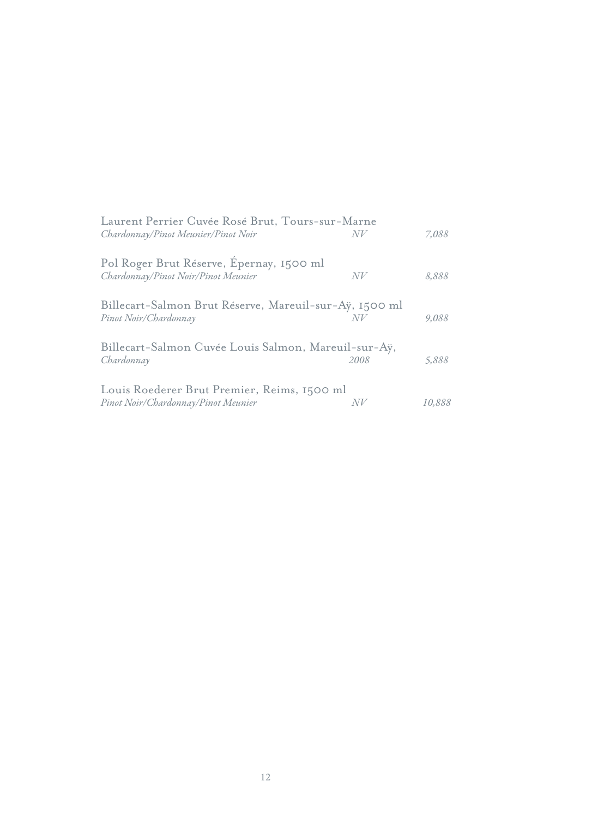| Laurent Perrier Cuvée Rosé Brut, Tours-sur-Marne<br>Chardonnay/Pinot Meunier/Pinot Noir | NV   | 7,088  |
|-----------------------------------------------------------------------------------------|------|--------|
| Pol Roger Brut Réserve, Epernay, 1500 ml<br>Chardonnay/Pinot Noir/Pinot Meunier         | N V  | 8,888  |
| Billecart-Salmon Brut Réserve, Mareuil-sur-Aÿ, 1500 ml<br>Pinot Noir/Chardonnay         | NV   | 9,088  |
| Billecart-Salmon Cuvée Louis Salmon, Mareuil-sur-Aÿ,<br>Chardonnay                      | 2008 | 5,888  |
| Louis Roederer Brut Premier, Reims, 1500 ml<br>Pinot Noir/Chardonnay/Pinot Meunier      | N V  | 10,888 |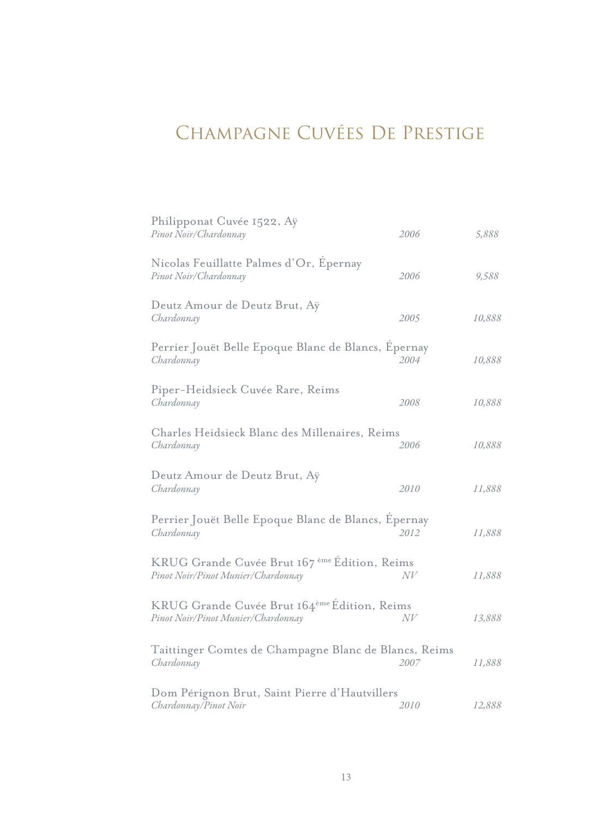# Champagne Cuvées De Prestige

| Philipponat Cuvée 1522, Aÿ<br>Pinot Noir/Chardonnay                                            | 2006 | 5,888  |
|------------------------------------------------------------------------------------------------|------|--------|
| Nicolas Feuillatte Palmes d'Or, Epernay<br>Pinot Noir/Chardonnay                               | 2006 | 9,588  |
| Deutz Amour de Deutz Brut, Aÿ<br>Chardonnay                                                    | 2005 | 10,888 |
| Perrier Jouët Belle Epoque Blanc de Blancs, Epernay<br>Chardonnay                              | 2004 | 10,888 |
| Piper-Heidsieck Cuvée Rare, Reims<br>Chardonnay                                                | 2008 | 10,888 |
| Charles Heidsieck Blanc des Millenaires, Reims<br>Chardonnay                                   | 2006 | 10,888 |
| Deutz Amour de Deutz Brut, Aÿ<br>Chardonnay                                                    | 2010 | 11,888 |
| Perrier Jouët Belle Epoque Blanc de Blancs, Epernay<br>Chardonnay                              | 2012 | 11,888 |
| KRUG Grande Cuvée Brut 167 <sup>ème</sup> Édition, Reims<br>Pinot Noir/Pinot Munier/Chardonnay | N V  | 11,888 |
| KRUG Grande Cuvée Brut 164ème Édition, Reims<br>Pinot Noir/Pinot Munier/Chardonnay             | N V  | 13,888 |
| Taittinger Comtes de Champagne Blanc de Blancs, Reims<br>Chardonnay                            | 2007 | 11,888 |
| Dom Pérignon Brut, Saint Pierre d'Hautvillers<br>Chardonnay/Pinot Noir                         | 2010 | 12,888 |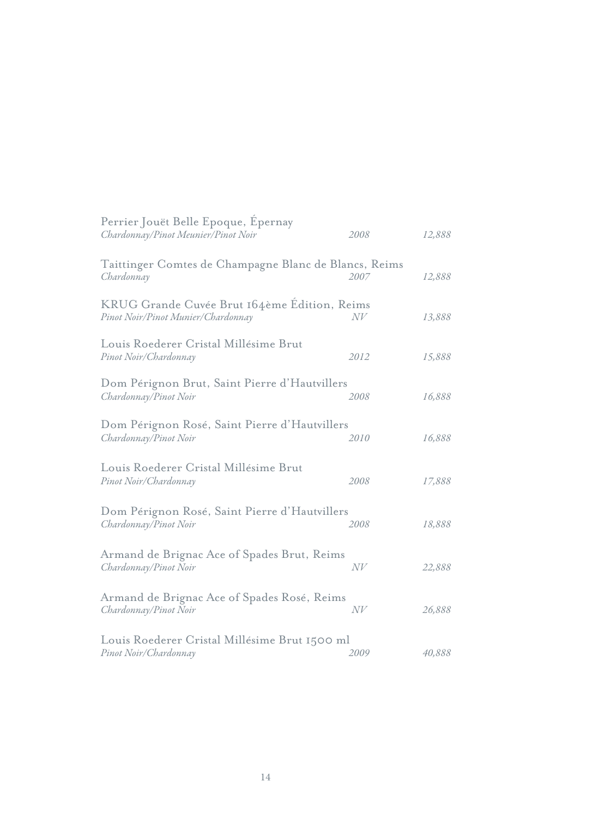| Perrier Jouët Belle Epoque, Epernay<br>Chardonnay/Pinot Meunier/Pinot Noir         | 2008 | 12,888 |
|------------------------------------------------------------------------------------|------|--------|
| Taittinger Comtes de Champagne Blanc de Blancs, Reims<br>Chardonnay                | 2007 | 12,888 |
| KRUG Grande Cuvée Brut 164ème Edition, Reims<br>Pinot Noir/Pinot Munier/Chardonnay | N V  | 13,888 |
| Louis Roederer Cristal Millésime Brut<br>Pinot Noir/Chardonnay                     | 2012 | 15,888 |
| Dom Pérignon Brut, Saint Pierre d'Hautvillers<br>Chardonnay/Pinot Noir             | 2008 | 16,888 |
| Dom Pérignon Rosé, Saint Pierre d'Hautvillers<br>Chardonnay/Pinot Noir             | 2010 | 16,888 |
| Louis Roederer Cristal Millésime Brut<br>Pinot Noir/Chardonnay                     | 2008 | 17,888 |
| Dom Pérignon Rosé, Saint Pierre d'Hautvillers<br>Chardonnay/Pinot Noir             | 2008 | 18,888 |
| Armand de Brignac Ace of Spades Brut, Reims<br>Chardonnay/Pinot Noir               | N V  | 22,888 |
| Armand de Brignac Ace of Spades Rosé, Reims<br>Chardonnay/Pinot Noir               | N V  | 26,888 |
| Louis Roederer Cristal Millésime Brut 1500 ml<br>Pinot Noir/Chardonnay             | 2009 | 40,888 |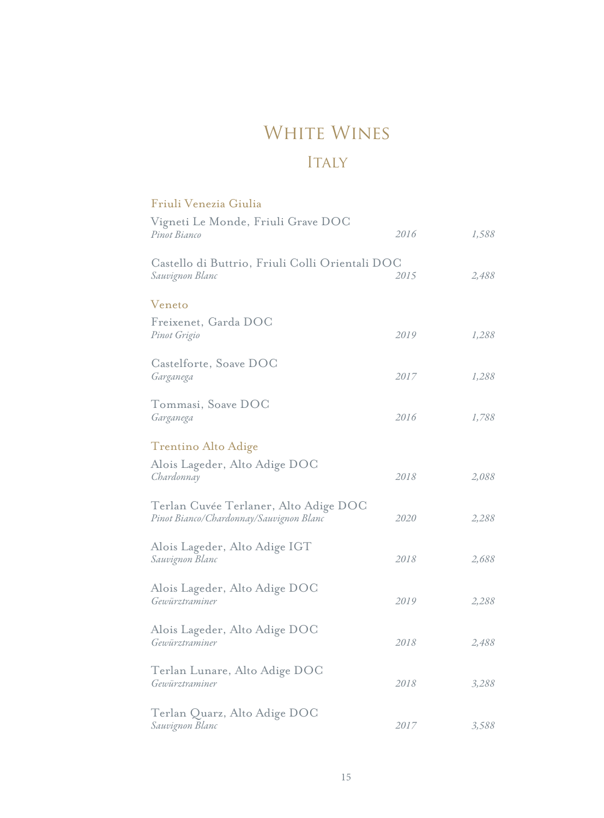### WHITE WINES

#### ITALY

#### *1,588 1,288 2,088 2,288 2,488 1,288 2,288 2,488 1,788 2,688 3,288 3,588 2016 2019 2018 2019 2015 2017 2020 2018 2016 2018 2018 2017* Vigneti Le Monde, Friuli Grave DOC Freixenet, Garda DOC Alois Lageder, Alto Adige DOC Alois Lageder, Alto Adige DOC Castello di Buttrio, Friuli Colli Orientali DOC Castelforte, Soave DOC Terlan Cuvée Terlaner, Alto Adige DOC Alois Lageder, Alto Adige DOC Tommasi, Soave DOC Alois Lageder, Alto Adige IGT Terlan Lunare, Alto Adige DOC Terlan Quarz, Alto Adige DOC *Pinot Bianco Pinot Grigio Chardonnay Gewürztraminer Sauvignon Blanc Garganega Pinot Bianco/Chardonnay/Sauvignon Blanc Gewürztraminer Garganega Sauvignon Blanc Gewürztraminer Sauvignon Blanc* Friuli Venezia Giulia Veneto Trentino Alto Adige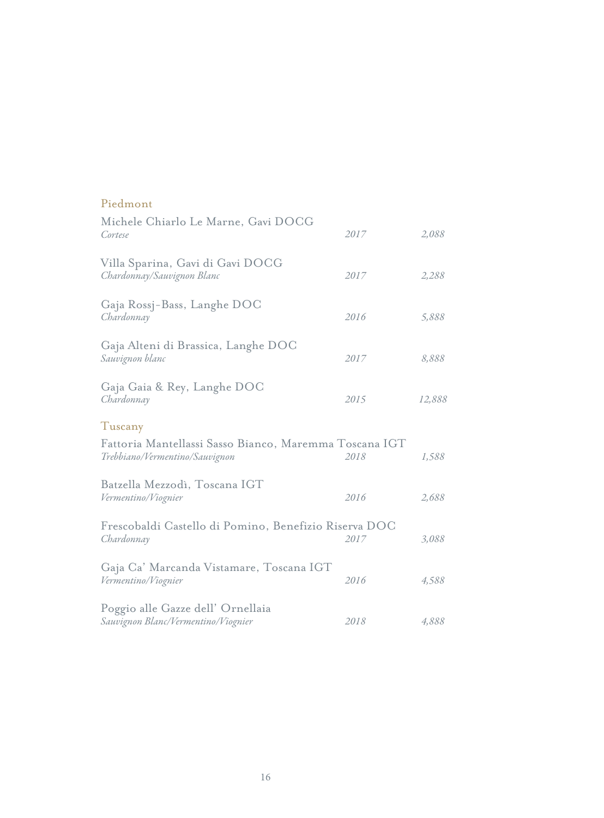| Piedmont                                                                                 |      |        |
|------------------------------------------------------------------------------------------|------|--------|
| Michele Chiarlo Le Marne, Gavi DOCG<br>Cortese                                           | 2017 | 2,088  |
| Villa Sparina, Gavi di Gavi DOCG<br>Chardonnay/Sauvignon Blanc                           | 2017 | 2,288  |
| Gaja Rossj-Bass, Langhe DOC<br>Chardonnay                                                | 2016 | 5,888  |
| Gaja Alteni di Brassica, Langhe DOC<br>Sauvignon blanc                                   | 2017 | 8,888  |
| Gaja Gaia & Rey, Langhe DOC<br>Chardonnay                                                | 2015 | 12,888 |
| Tuscany                                                                                  |      |        |
| Fattoria Mantellassi Sasso Bianco, Maremma Toscana IGT<br>Trebbiano/Vermentino/Sauvignon | 2018 | 1,588  |
| Batzella Mezzodì, Toscana IGT<br>Vermentino/Viognier                                     | 2016 | 2,688  |
| Frescobaldi Castello di Pomino, Benefizio Riserva DOC<br>Chardonnay                      | 2017 | 3,088  |
| Gaja Ca' Marcanda Vistamare, Toscana IGT<br>Vermentino/Viognier                          | 2016 | 4,588  |
| Poggio alle Gazze dell' Ornellaia<br>Sauvignon Blanc/Vermentino/Viognier                 | 2018 | 4,888  |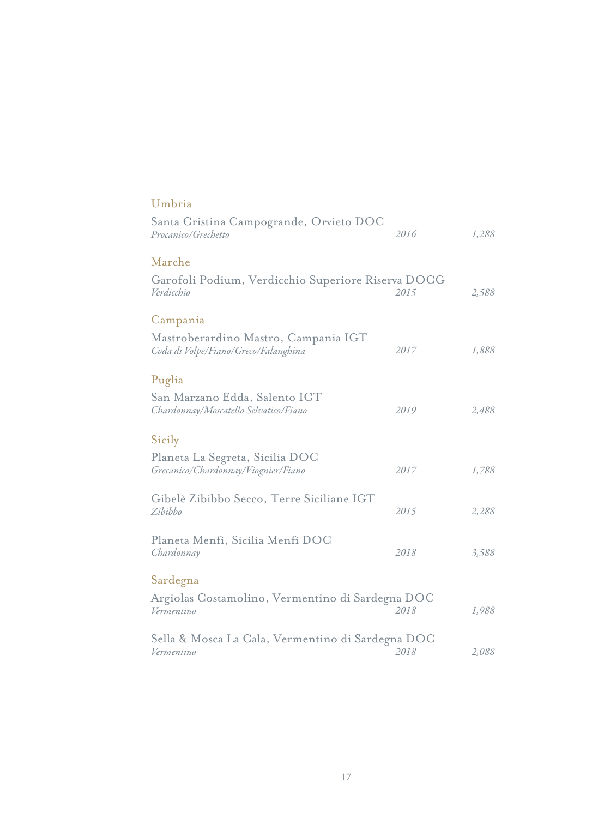| Umbria                                                                       |      |       |
|------------------------------------------------------------------------------|------|-------|
| Santa Cristina Campogrande, Orvieto DOC<br>Procanico/Grechetto               | 2016 | 1,288 |
| Marche                                                                       |      |       |
| Garofoli Podium, Verdicchio Superiore Riserva DOCG<br>Verdicchio             | 2015 | 2,588 |
| Campania                                                                     |      |       |
| Mastroberardino Mastro, Campania IGT<br>Coda di Volpe/Fiano/Greco/Falanghina | 2017 | 1,888 |
| Puglia                                                                       |      |       |
| San Marzano Edda, Salento IGT<br>Chardonnay/Moscatello Selvatico/Fiano       | 2019 | 2,488 |
| Sicily                                                                       |      |       |
| Planeta La Segreta, Sicilia DOC<br>Grecanico/Chardonnay/Viognier/Fiano       | 2017 | 1,788 |
| Gibelè Zibibbo Secco, Terre Siciliane IGT<br>Zibibbo                         | 2015 | 2,288 |
| Planeta Menfi, Sicilia Menfi DOC<br>Chardonnay                               | 2018 | 3,588 |
| Sardegna                                                                     |      |       |
| Argiolas Costamolino, Vermentino di Sardegna DOC<br>Vermentino               | 2018 | 1,988 |
| Sella & Mosca La Cala, Vermentino di Sardegna DOC                            |      |       |
| Vermentino                                                                   | 2018 | 2,088 |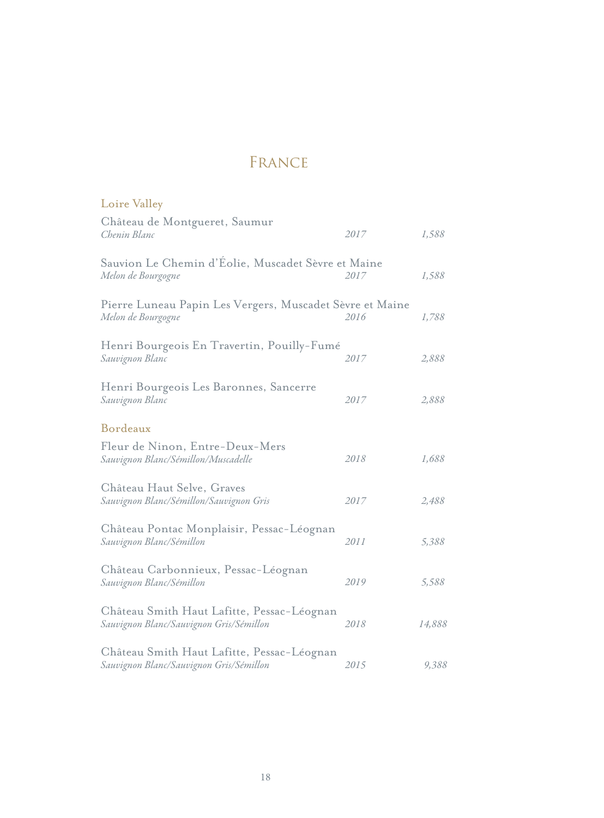### FRANCE

| Loire Valley                                                                          |      |        |
|---------------------------------------------------------------------------------------|------|--------|
| Château de Montgueret, Saumur<br>Chenin Blanc                                         | 2017 | 1,588  |
| Sauvion Le Chemin d'Eolie, Muscadet Sèvre et Maine<br>Melon de Bourgogne              | 2017 | 1,588  |
| Pierre Luneau Papin Les Vergers, Muscadet Sèvre et Maine<br>Melon de Bourgogne        | 2016 | 1,788  |
| Henri Bourgeois En Travertin, Pouilly-Fumé<br>Sauvignon Blanc                         | 2017 | 2,888  |
| Henri Bourgeois Les Baronnes, Sancerre<br>Sauvignon Blanc                             | 2017 | 2,888  |
| Bordeaux                                                                              |      |        |
| Fleur de Ninon, Entre-Deux-Mers<br>Sauvignon Blanc/Sémillon/Muscadelle                | 2018 | 1,688  |
| Château Haut Selve, Graves<br>Sauvignon Blanc/Sémillon/Sauvignon Gris                 | 2017 | 2,488  |
| Château Pontac Monplaisir, Pessac-Léognan<br>Sauvignon Blanc/Sémillon                 | 2011 | 5,388  |
| Château Carbonnieux, Pessac-Léognan<br>Sauvignon Blanc/Sémillon                       | 2019 | 5,588  |
| Château Smith Haut Lafitte, Pessac-Léognan<br>Sauvignon Blanc/Sauvignon Gris/Sémillon | 2018 | 14,888 |
| Château Smith Haut Lafitte, Pessac-Léognan<br>Sauvignon Blanc/Sauvignon Gris/Sémillon | 2015 | 9,388  |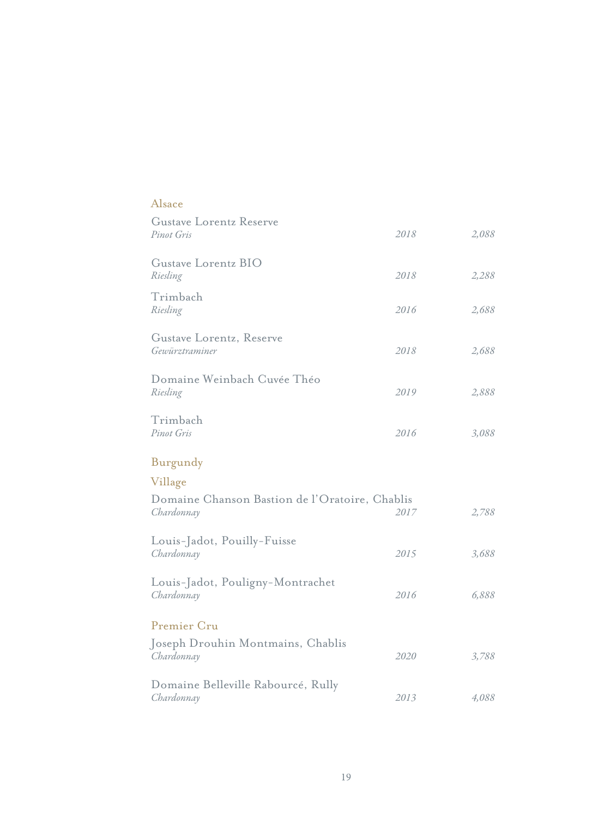| Alsace                                                       |      |       |
|--------------------------------------------------------------|------|-------|
| <b>Gustave Lorentz Reserve</b><br>Pinot Gris                 | 2018 | 2,088 |
| Gustave Lorentz BIO<br>Riesling                              | 2018 | 2,288 |
| Trimbach<br>Riesling                                         | 2016 | 2,688 |
| Gustave Lorentz, Reserve<br>Gewürztraminer                   | 2018 | 2,688 |
| Domaine Weinbach Cuvée Théo<br>Riesling                      | 2019 | 2,888 |
| Trimbach<br>Pinot Gris                                       | 2016 | 3,088 |
| Burgundy                                                     |      |       |
| Village                                                      |      |       |
| Domaine Chanson Bastion de l'Oratoire, Chablis<br>Chardonnay | 2017 | 2,788 |
| Louis-Jadot, Pouilly-Fuisse<br>Chardonnay                    | 2015 | 3,688 |
| Louis-Jadot, Pouligny-Montrachet<br>Chardonnay               | 2016 | 6,888 |
| Premier Cru                                                  |      |       |
| Joseph Drouhin Montmains, Chablis<br>Chardonnay              | 2020 | 3,788 |
| Domaine Belleville Rabourcé, Rully<br>Chardonnay             | 2013 | 4,088 |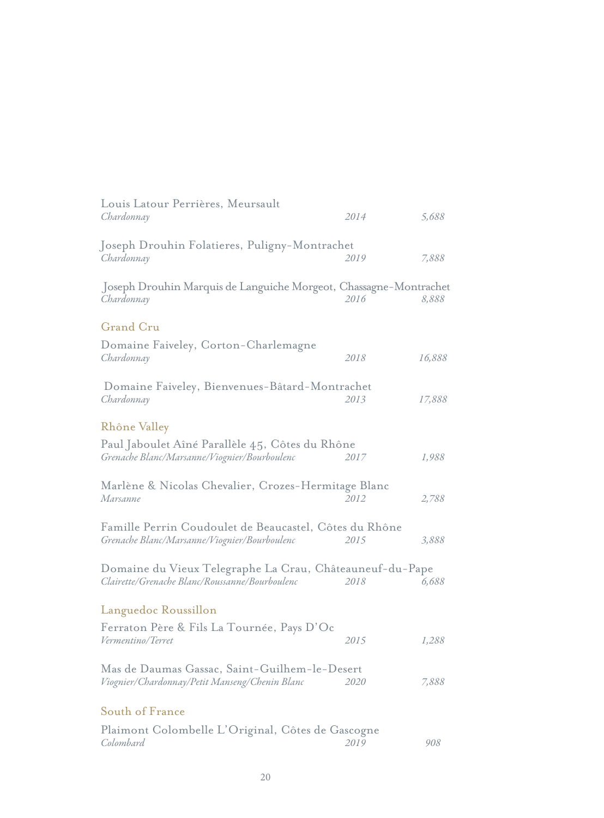| Louis Latour Perrières, Meursault<br>Chardonnay                                                            | 2014 | 5,688  |
|------------------------------------------------------------------------------------------------------------|------|--------|
| Joseph Drouhin Folatieres, Puligny-Montrachet<br>Chardonnay                                                | 2019 | 7,888  |
| Joseph Drouhin Marquis de Languiche Morgeot, Chassagne-Montrachet<br>Chardonnay                            | 2016 | 8,888  |
| <b>Grand Cru</b>                                                                                           |      |        |
| Domaine Faiveley, Corton-Charlemagne<br>Chardonnay                                                         | 2018 | 16,888 |
| Domaine Faiveley, Bienvenues-Bâtard-Montrachet<br>Chardonnay                                               | 2013 | 17,888 |
| Rhône Valley                                                                                               |      |        |
| Paul Jaboulet Aîné Parallèle 45, Côtes du Rhône<br>Grenache Blanc/Marsanne/Viognier/Bourboulenc            | 2017 | 1,988  |
| Marlène & Nicolas Chevalier, Crozes-Hermitage Blanc<br>Marsanne                                            | 2012 | 2,788  |
| Famille Perrin Coudoulet de Beaucastel, Côtes du Rhône<br>Grenache Blanc/Marsanne/Viognier/Bourboulenc     | 2015 | 3,888  |
| Domaine du Vieux Telegraphe La Crau, Châteauneuf-du-Pape<br>Clairette/Grenache Blanc/Roussanne/Bourboulenc | 2018 | 6,688  |
| Languedoc Roussillon                                                                                       |      |        |
| Ferraton Père & Fils La Tournée, Pays D'Oc<br>Vermentino/Terret                                            | 2015 | 1,288  |
| Mas de Daumas Gassac, Saint-Guilhem-le-Desert<br>Viognier/Chardonnay/Petit Manseng/Chenin Blanc            | 2020 | 7,888  |
| South of France                                                                                            |      |        |
| Plaimont Colombelle L'Original, Côtes de Gascogne<br>Colombard                                             | 2019 | 908    |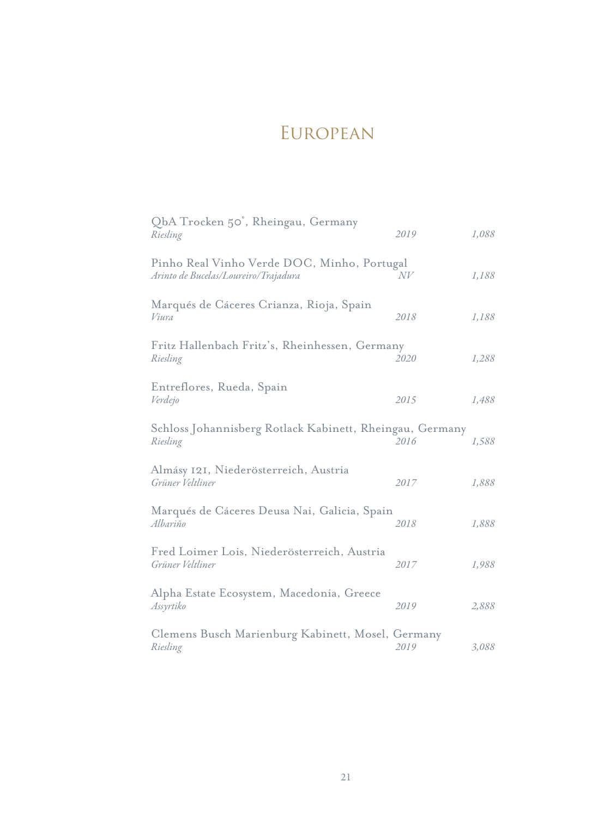### **EUROPEAN**

| QbA Trocken 50°, Rheingau, Germany<br>Riesling                                      | 2019 | 1,088 |
|-------------------------------------------------------------------------------------|------|-------|
| Pinho Real Vinho Verde DOC, Minho, Portugal<br>Arinto de Bucelas/Loureiro/Trajadura | N V  | 1,188 |
| Marqués de Cáceres Crianza, Rioja, Spain<br>Viura                                   | 2018 | 1,188 |
| Fritz Hallenbach Fritz's, Rheinhessen, Germany<br>Riesling                          | 2020 | 1,288 |
| Entreflores, Rueda, Spain<br>Verdejo                                                | 2015 | 1,488 |
| Schloss Johannisberg Rotlack Kabinett, Rheingau, Germany<br>Riesling                | 2016 | 1,588 |
| Almásy 121, Niederösterreich, Austria<br>Grüner Veltliner                           | 2017 | 1,888 |
| Marqués de Cáceres Deusa Nai, Galicia, Spain<br>Albariño                            | 2018 | 1,888 |
| Fred Loimer Lois, Niederösterreich, Austria<br>Grüner Veltliner                     | 2017 | 1,988 |
| Alpha Estate Ecosystem, Macedonia, Greece<br>Assyrtiko                              | 2019 | 2,888 |
| Clemens Busch Marienburg Kabinett, Mosel, Germany<br>Riesling                       | 2019 | 3,088 |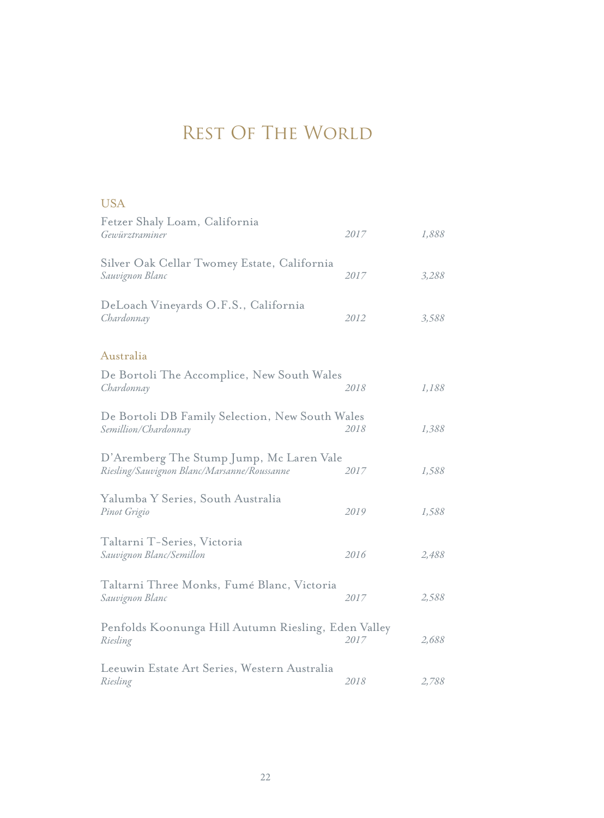# REST OF THE WORLD

#### USA

| Fetzer Shaly Loam, California<br>Gewürztraminer                                         | 2017 | 1,888 |
|-----------------------------------------------------------------------------------------|------|-------|
| Silver Oak Cellar Twomey Estate, California<br>Sauvignon Blanc                          | 2017 | 3,288 |
| DeLoach Vineyards O.F.S., California<br>Chardonnay                                      | 2012 | 3,588 |
| Australia                                                                               |      |       |
| De Bortoli The Accomplice, New South Wales<br>Chardonnay                                | 2018 | 1,188 |
| De Bortoli DB Family Selection, New South Wales<br>Semillion/Chardonnay                 | 2018 | 1,388 |
| D'Aremberg The Stump Jump, Mc Laren Vale<br>Riesling/Sauvignon Blanc/Marsanne/Roussanne | 2017 | 1,588 |
| Yalumba Y Series, South Australia<br>Pinot Grigio                                       | 2019 | 1,588 |
| Taltarni T-Series, Victoria<br>Sauvignon Blanc/Semillon                                 | 2016 | 2,488 |
| Taltarni Three Monks, Fumé Blanc, Victoria<br>Sauvignon Blanc                           | 2017 | 2,588 |
| Penfolds Koonunga Hill Autumn Riesling, Eden Valley<br>Riesling                         | 2017 | 2,688 |
| Leeuwin Estate Art Series, Western Australia<br>Riesling                                | 2018 | 2,788 |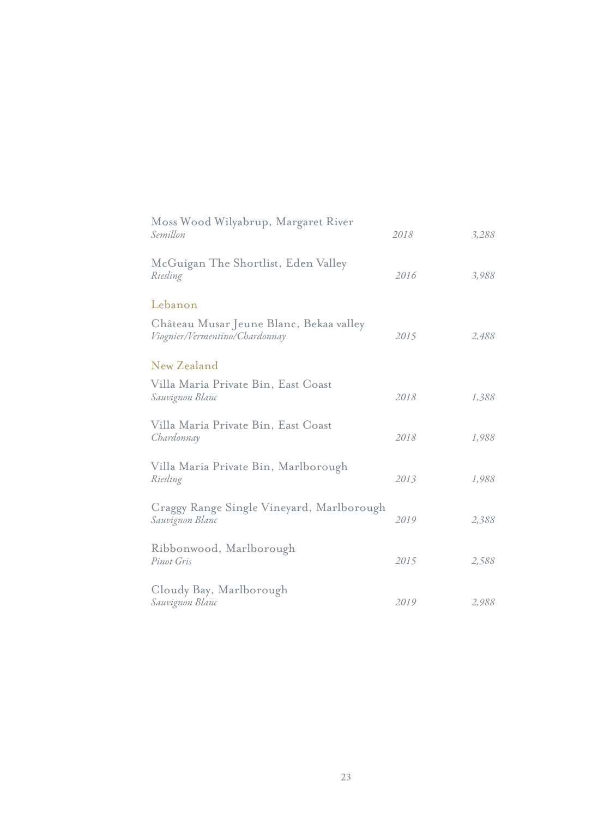| Moss Wood Wilyabrup, Margaret River<br>Semillon                           | 2018 | 3,288 |
|---------------------------------------------------------------------------|------|-------|
| McGuigan The Shortlist, Eden Valley<br>Riesling                           | 2016 | 3,988 |
| Lebanon                                                                   |      |       |
| Château Musar Jeune Blanc, Bekaa valley<br>Viognier/Vermentino/Chardonnay | 2015 | 2,488 |
| New Zealand                                                               |      |       |
| Villa Maria Private Bin, East Coast<br>Sauvignon Blanc                    | 2018 | 1,388 |
| Villa Maria Private Bin, East Coast<br>Chardonnay                         | 2018 | 1,988 |
| Villa Maria Private Bin, Marlborough<br>Riesling                          | 2013 | 1,988 |
| Craggy Range Single Vineyard, Marlborough<br>Sauvignon Blanc              | 2019 | 2,388 |
| Ribbonwood, Marlborough<br>Pinot Gris                                     | 2015 | 2,588 |
| Cloudy Bay, Marlborough<br>Sauvignon Blanc                                | 2019 | 2,988 |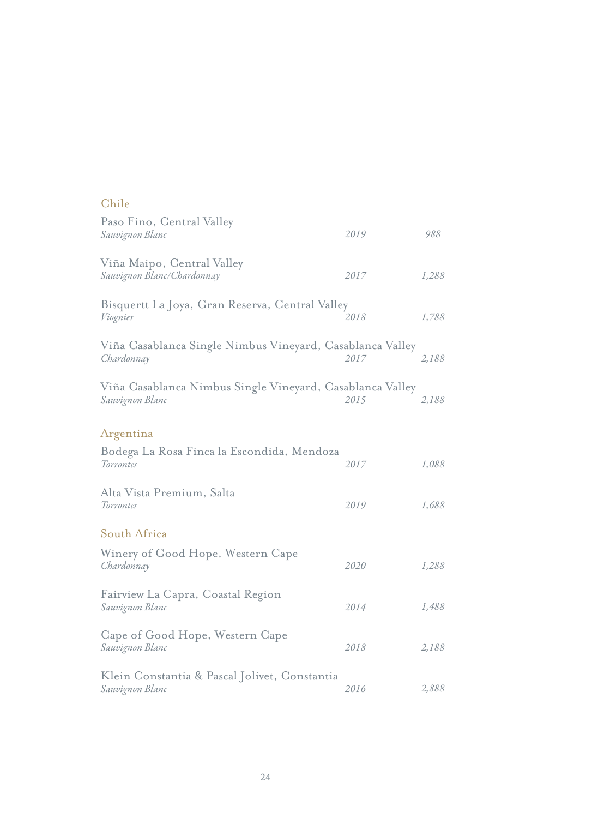#### Chile

| Paso Fino, Central Valley<br>Sauvignon Blanc                                 | 2019 | 988   |
|------------------------------------------------------------------------------|------|-------|
| Viña Maipo, Central Valley<br>Sauvignon Blanc/Chardonnay                     | 2017 | 1,288 |
| Bisquertt La Joya, Gran Reserva, Central Valley<br>Viognier                  | 2018 | 1,788 |
| Viña Casablanca Single Nimbus Vineyard, Casablanca Valley<br>Chardonnay      | 2017 | 2,188 |
| Viña Casablanca Nimbus Single Vineyard, Casablanca Valley<br>Sauvignon Blanc | 2015 | 2,188 |
| Argentina                                                                    |      |       |
| Bodega La Rosa Finca la Escondida, Mendoza<br>Torrontes                      | 2017 | 1,088 |
| Alta Vista Premium, Salta<br>Torrontes                                       | 2019 | 1,688 |
| South Africa                                                                 |      |       |
| Winery of Good Hope, Western Cape<br>Chardonnay                              | 2020 | 1,288 |
| Fairview La Capra, Coastal Region<br>Sauvignon Blanc                         | 2014 | 1,488 |
| Cape of Good Hope, Western Cape<br>Sauvignon Blanc                           | 2018 | 2,188 |
| Klein Constantia & Pascal Jolivet, Constantia<br>Sauvignon Blanc             | 2016 | 2,888 |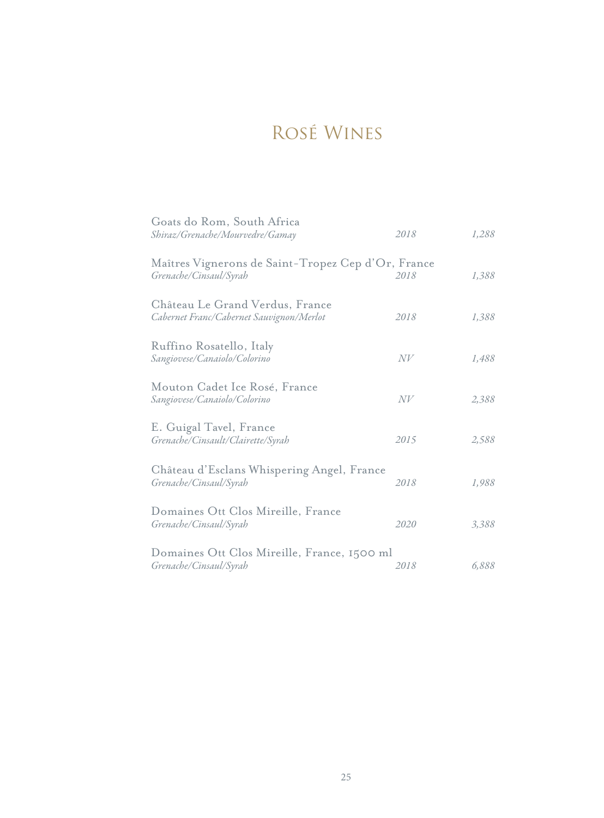# Rosé Wines

| Goats do Rom, South Africa<br>Shiraz/Grenache/Mourvedre/Gamay                | 2018 | 1,288 |
|------------------------------------------------------------------------------|------|-------|
| Maîtres Vignerons de Saint-Tropez Cep d'Or, France<br>Grenache/Cinsaul/Syrah | 2018 | 1,388 |
| Château Le Grand Verdus, France<br>Cabernet Franc/Cabernet Sauvignon/Merlot  | 2018 | 1,388 |
| Ruffino Rosatello, Italy<br>Sangiovese/Canaiolo/Colorino                     | N V  | 1,488 |
| Mouton Cadet Ice Rosé, France<br>Sangiovese/Canaiolo/Colorino                | N V  | 2,388 |
| E. Guigal Tavel, France<br>Grenache/Cinsault/Clairette/Syrah                 | 2015 | 2,588 |
| Château d'Esclans Whispering Angel, France<br>Grenache/Cinsaul/Syrah         | 2018 | 1,988 |
| Domaines Ott Clos Mireille, France<br>Grenache/Cinsaul/Syrah                 | 2020 | 3,388 |
| Domaines Ott Clos Mireille, France, 1500 ml<br>Grenache/Cinsaul/Syrah        | 2018 | 6,888 |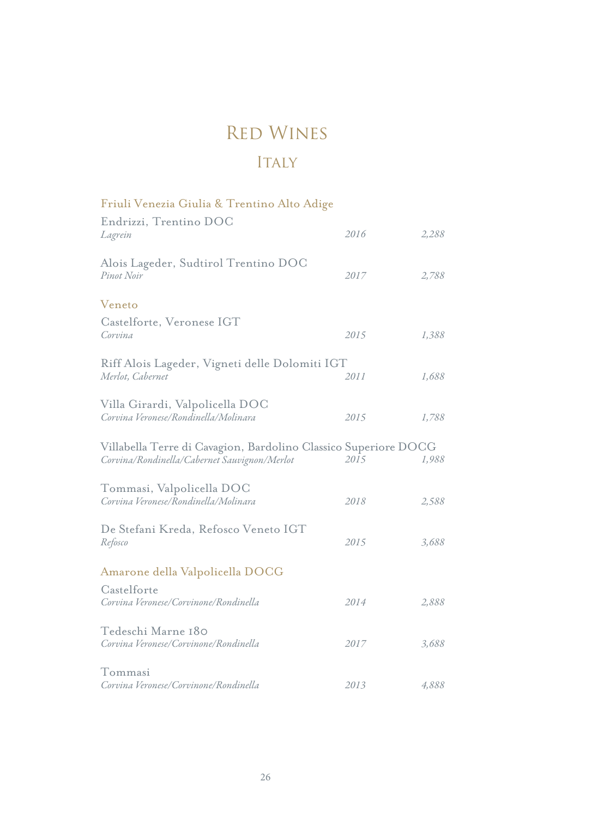### Red Wines

### ITALY

| Friuli Venezia Giulia & Trentino Alto Adige                                                                     |      |       |
|-----------------------------------------------------------------------------------------------------------------|------|-------|
| Endrizzi, Trentino DOC<br>Lagrein                                                                               | 2016 | 2,288 |
| Alois Lageder, Sudtirol Trentino DOC<br>Pinot Noir                                                              | 2017 | 2,788 |
| Veneto                                                                                                          |      |       |
| Castelforte, Veronese IGT<br>Corvina                                                                            | 2015 | 1,388 |
| Riff Alois Lageder, Vigneti delle Dolomiti IGT                                                                  |      |       |
| Merlot, Cabernet                                                                                                | 2011 | 1,688 |
| Villa Girardi, Valpolicella DOC<br>Corvina Veronese/Rondinella/Molinara                                         | 2015 | 1,788 |
| Villabella Terre di Cavagion, Bardolino Classico Superiore DOCG<br>Corvina/Rondinella/Cabernet Sauvignon/Merlot | 2015 | 1,988 |
| Tommasi, Valpolicella DOC<br>Corvina Veronese/Rondinella/Molinara                                               | 2018 | 2,588 |
| De Stefani Kreda, Refosco Veneto IGT<br>Refosco                                                                 | 2015 | 3,688 |
| Amarone della Valpolicella DOCG                                                                                 |      |       |
| Castelforte<br>Corvina Veronese/Corvinone/Rondinella                                                            | 2014 | 2,888 |
| Tedeschi Marne 180<br>Corvina Veronese/Corvinone/Rondinella                                                     | 2017 | 3,688 |
| Tommasi<br>Corvina Veronese/Corvinone/Rondinella                                                                | 2013 | 4,888 |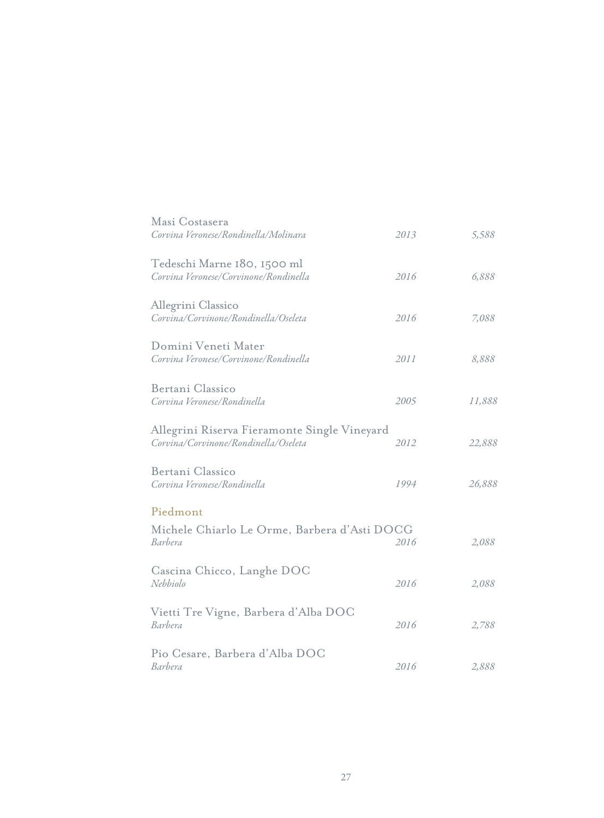| Masi Costasera<br>Corvina Veronese/Rondinella/Molinara                               | 2013 | 5,588  |
|--------------------------------------------------------------------------------------|------|--------|
| Tedeschi Marne 180, 1500 ml<br>Corvina Veronese/Corvinone/Rondinella                 | 2016 | 6,888  |
| Allegrini Classico<br>Corvina/Corvinone/Rondinella/Oseleta                           | 2016 | 7,088  |
| Domini Veneti Mater<br>Corvina Veronese/Corvinone/Rondinella                         | 2011 | 8,888  |
| Bertani Classico<br>Corvina Veronese/Rondinella                                      | 2005 | 11,888 |
| Allegrini Riserva Fieramonte Single Vineyard<br>Corvina/Corvinone/Rondinella/Oseleta | 2012 | 22,888 |
| Bertani Classico<br>Corvina Veronese/Rondinella                                      | 1994 | 26,888 |
| Piedmont                                                                             |      |        |
| Michele Chiarlo Le Orme, Barbera d'Asti DOCG<br>Barbera                              | 2016 | 2,088  |
| Cascina Chicco, Langhe DOC<br>Nebbiolo                                               | 2016 | 2,088  |
| Vietti Tre Vigne, Barbera d'Alba DOC<br>Barbera                                      | 2016 | 2,788  |
| Pio Cesare, Barbera d'Alba DOC<br>Barbera                                            | 2016 | 2,888  |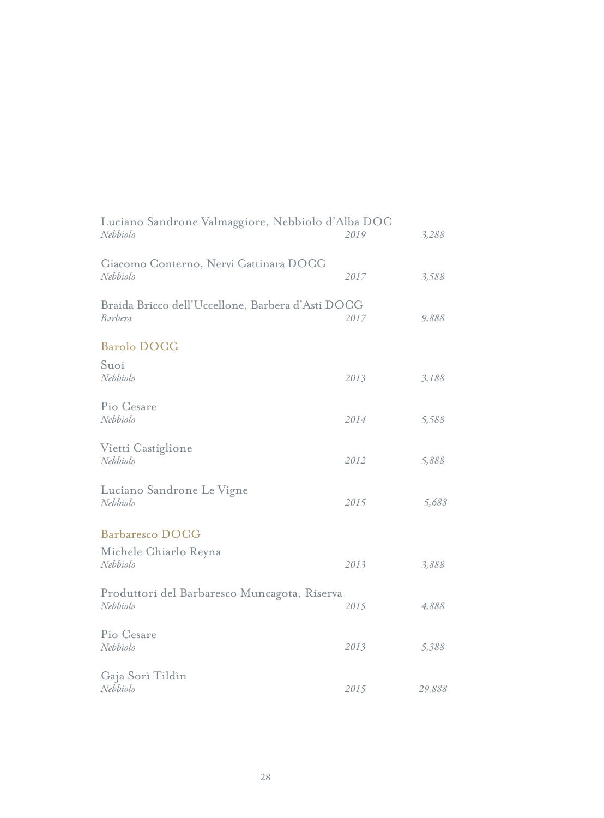| Luciano Sandrone Valmaggiore, Nebbiolo d'Alba DOC<br>Nebbiolo | 2019 | 3,288  |
|---------------------------------------------------------------|------|--------|
| Giacomo Conterno, Nervi Gattinara DOCG<br>Nebbiolo            | 2017 | 3,588  |
| Braida Bricco dell'Uccellone, Barbera d'Asti DOCG<br>Barbera  | 2017 | 9,888  |
| <b>Barolo DOCG</b>                                            |      |        |
| Suoi<br>Nebbiolo                                              | 2013 | 3,188  |
| Pio Cesare<br>Nebbiolo                                        | 2014 | 5,588  |
| Vietti Castiglione<br>Nebbiolo                                | 2012 | 5,888  |
| Luciano Sandrone Le Vigne<br>Nebbiolo                         | 2015 | 5,688  |
| <b>Barbaresco DOCG</b>                                        |      |        |
| Michele Chiarlo Reyna<br>Nebbiolo                             | 2013 | 3,888  |
| Produttori del Barbaresco Muncagota, Riserva<br>Nebbiolo      | 2015 | 4,888  |
| Pio Cesare<br>Nebbiolo                                        | 2013 | 5,388  |
| Gaja Sorì Tildìn<br>Nebbiolo                                  | 2015 | 29,888 |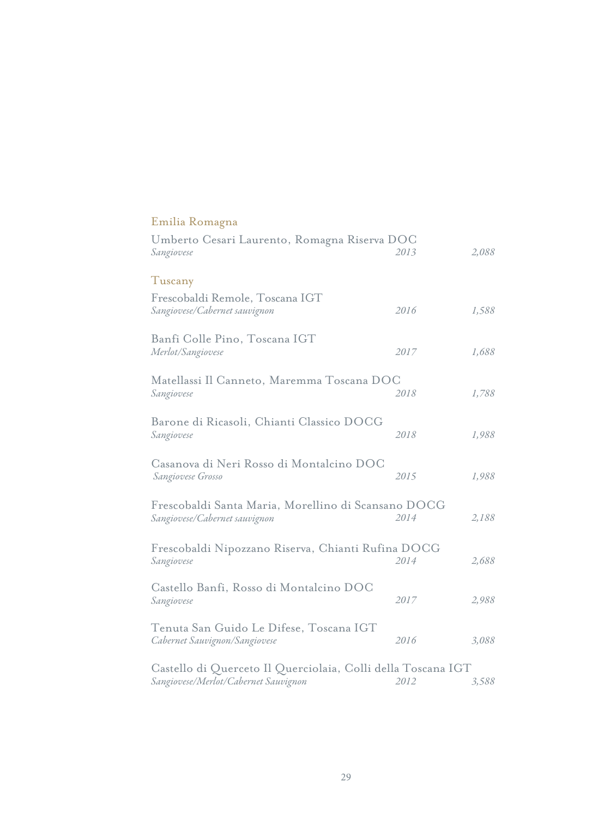| Emilia Romagna                                                                                       |      |       |
|------------------------------------------------------------------------------------------------------|------|-------|
| Umberto Cesari Laurento, Romagna Riserva DOC<br>Sangiovese                                           | 2013 | 2,088 |
| Tuscany                                                                                              |      |       |
| Frescobaldi Remole, Toscana IGT<br>Sangiovese/Cabernet sauvignon                                     | 2016 | 1,588 |
| Banfi Colle Pino, Toscana IGT<br>Merlot/Sangiovese                                                   | 2017 | 1,688 |
| Matellassi Il Canneto, Maremma Toscana DOC<br>Sangiovese                                             | 2018 | 1,788 |
| Barone di Ricasoli, Chianti Classico DOCG<br>Sangiovese                                              | 2018 | 1,988 |
| Casanova di Neri Rosso di Montalcino DOC<br>Sangiovese Grosso                                        | 2015 | 1,988 |
| Frescobaldi Santa Maria, Morellino di Scansano DOCG<br>Sangiovese/Cabernet sauvignon                 | 2014 | 2,188 |
| Frescobaldi Nipozzano Riserva, Chianti Rufina DOCG<br>Sangiovese                                     | 2014 | 2,688 |
| Castello Banfi, Rosso di Montalcino DOC<br>Sangiovese                                                | 2017 | 2,988 |
| Tenuta San Guido Le Difese, Toscana IGT<br>Cabernet Sauvignon/Sangiovese                             | 2016 | 3,088 |
| Castello di Querceto Il Querciolaia, Colli della Toscana IGT<br>Sangiovese/Merlot/Cabernet Sauvignon | 2012 | 3,588 |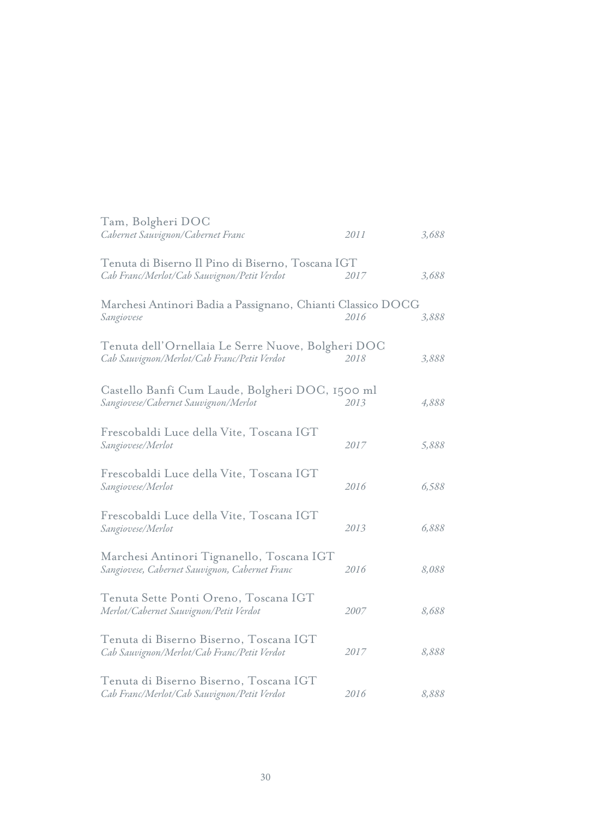| Tam, Bolgheri DOC<br>Cabernet Sauvignon/Cabernet Franc                                            | 2011        | 3,688 |
|---------------------------------------------------------------------------------------------------|-------------|-------|
| Tenuta di Biserno Il Pino di Biserno, Toscana IGT<br>Cab Franc/Merlot/Cab Sauvignon/Petit Verdot  | 2017        | 3,688 |
| Marchesi Antinori Badia a Passignano, Chianti Classico DOCG<br>Sangiovese                         | 2016        | 3,888 |
| Tenuta dell'Ornellaia Le Serre Nuove, Bolgheri DOC<br>Cab Sauvignon/Merlot/Cab Franc/Petit Verdot | 2018        | 3,888 |
| Castello Banfi Cum Laude, Bolgheri DOC, 1500 ml<br>Sangiovese/Cabernet Sauvignon/Merlot           | 2013        | 4,888 |
| Frescobaldi Luce della Vite, Toscana IGT<br>Sangiovese/Merlot                                     | 2017        | 5,888 |
| Frescobaldi Luce della Vite, Toscana IGT<br>Sangiovese/Merlot                                     | 2016        | 6,588 |
| Frescobaldi Luce della Vite, Toscana IGT<br>Sangiovese/Merlot                                     | 2013        | 6,888 |
| Marchesi Antinori Tignanello, Toscana IGT<br>Sangiovese, Cabernet Sauvignon, Cabernet Franc       | 2016        | 8,088 |
| Tenuta Sette Ponti Oreno, Toscana IGT<br>Merlot/Cabernet Sauvignon/Petit Verdot                   | <i>2007</i> | 8,688 |
| Tenuta di Biserno Biserno, Toscana IGT<br>Cab Sauvignon/Merlot/Cab Franc/Petit Verdot             | 2017        | 8,888 |
| Tenuta di Biserno Biserno, Toscana IGT<br>Cab Franc/Merlot/Cab Sauvignon/Petit Verdot             | 2016        | 8,888 |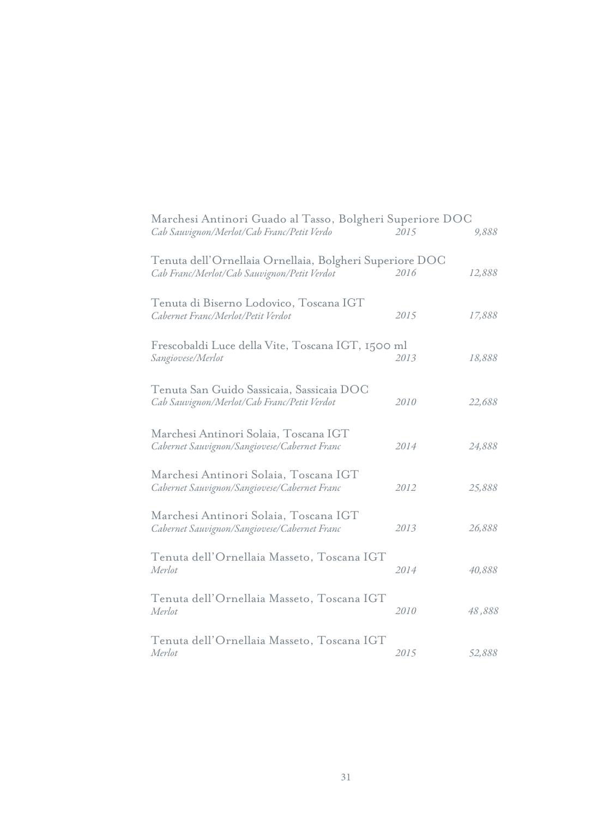| Marchesi Antinori Guado al Tasso, Bolgheri Superiore DOC<br>Cab Sauvignon/Merlot/Cab Franc/Petit Verdo | 2015 | 9,888  |
|--------------------------------------------------------------------------------------------------------|------|--------|
| Tenuta dell'Ornellaia Ornellaia, Bolgheri Superiore DOC<br>Cab Franc/Merlot/Cab Sauvignon/Petit Verdot | 2016 | 12,888 |
| Tenuta di Biserno Lodovico, Toscana IGT<br>Cabernet Franc/Merlot/Petit Verdot                          | 2015 | 17,888 |
| Frescobaldi Luce della Vite, Toscana IGT, 1500 ml<br>Sangiovese/Merlot                                 | 2013 | 18,888 |
| Tenuta San Guido Sassicaia, Sassicaia DOC<br>Cab Sauvignon/Merlot/Cab Franc/Petit Verdot               | 2010 | 22,688 |
| Marchesi Antinori Solaia, Toscana IGT<br>Cabernet Sauvignon/Sangiovese/Cabernet Franc                  | 2014 | 24,888 |
| Marchesi Antinori Solaia, Toscana IGT<br>Cabernet Sauvignon/Sangiovese/Cabernet Franc                  | 2012 | 25,888 |
| Marchesi Antinori Solaia, Toscana IGT<br>Cabernet Sauvignon/Sangiovese/Cabernet Franc                  | 2013 | 26,888 |
| Tenuta dell'Ornellaia Masseto, Toscana IGT<br>Merlot                                                   | 2014 | 40,888 |
| Tenuta dell'Ornellaia Masseto, Toscana IGT<br>Merlot                                                   | 2010 | 48,888 |
| Tenuta dell'Ornellaia Masseto, Toscana IGT<br>Merlot                                                   | 2015 | 52,888 |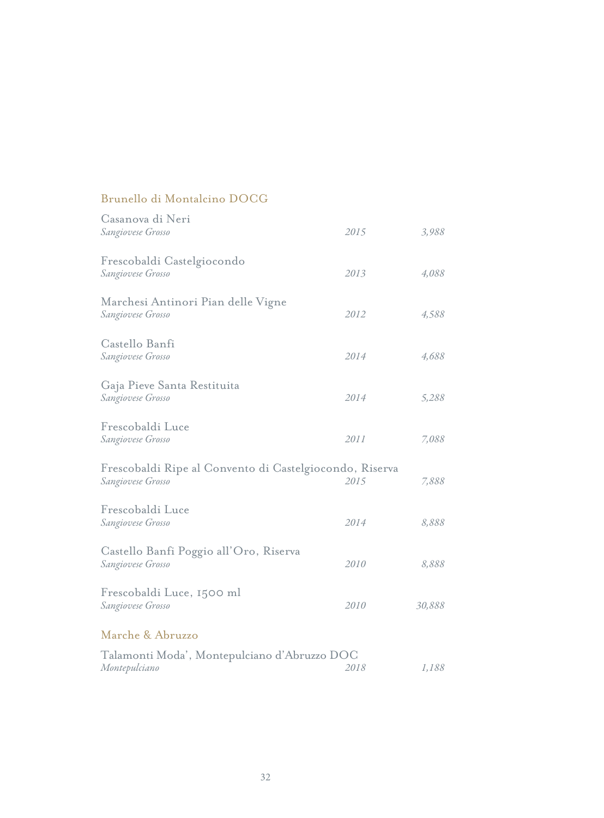#### Brunello di Montalcino DOCG

| Casanova di Neri<br>Sangiovese Grosso                                        | 2015 | 3,988  |
|------------------------------------------------------------------------------|------|--------|
| Frescobaldi Castelgiocondo<br>Sangiovese Grosso                              | 2013 | 4,088  |
| Marchesi Antinori Pian delle Vigne<br>Sangiovese Grosso                      | 2012 | 4,588  |
| Castello Banfi<br>Sangiovese Grosso                                          | 2014 | 4,688  |
| Gaja Pieve Santa Restituita<br>Sangiovese Grosso                             | 2014 | 5,288  |
| Frescobaldi Luce<br>Sangiovese Grosso                                        | 2011 | 7,088  |
| Frescobaldi Ripe al Convento di Castelgiocondo, Riserva<br>Sangiovese Grosso | 2015 | 7,888  |
| Frescobaldi Luce<br>Sangiovese Grosso                                        | 2014 | 8,888  |
| Castello Banfi Poggio all'Oro, Riserva<br>Sangiovese Grosso                  | 2010 | 8,888  |
| Frescobaldi Luce, 1500 ml<br>Sangiovese Grosso                               | 2010 | 30,888 |
| Marche & Abruzzo                                                             |      |        |
| Talamonti Moda', Montepulciano d'Abruzzo DOC<br>Montepulciano                | 2018 | 1,188  |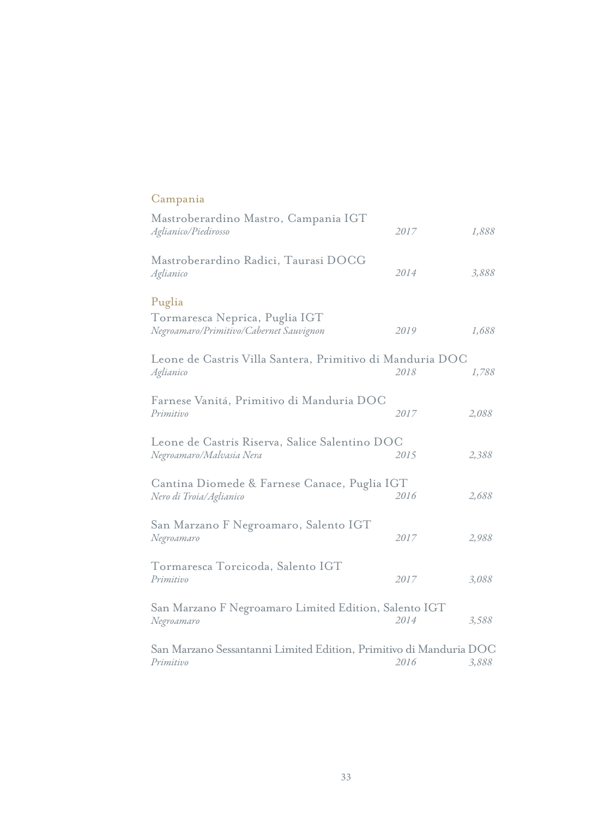### Campania

| Mastroberardino Mastro, Campania IGT<br>Aglianico/Piedirosso                        | 2017 | 1,888 |
|-------------------------------------------------------------------------------------|------|-------|
| Mastroberardino Radici, Taurasi DOCG<br>Aglianico                                   | 2014 | 3,888 |
| Puglia<br>Tormaresca Neprica, Puglia IGT<br>Negroamaro/Primitivo/Cabernet Sauvignon | 2019 | 1,688 |
| Leone de Castris Villa Santera, Primitivo di Manduria DOC<br>Aglianico              | 2018 | 1,788 |
| Farnese Vanitá, Primitivo di Manduria DOC<br>Primitivo                              | 2017 | 2,088 |
| Leone de Castris Riserva, Salice Salentino DOC<br>Negroamaro/Malvasia Nera          | 2015 | 2,388 |
| Cantina Diomede & Farnese Canace, Puglia IGT<br>Nero di Troia/Aglianico             | 2016 | 2,688 |
| San Marzano F Negroamaro, Salento IGT<br>Negroamaro                                 | 2017 | 2,988 |
| Tormaresca Torcicoda, Salento IGT<br>Primitivo                                      | 2017 | 3,088 |
| San Marzano F Negroamaro Limited Edition, Salento IGT<br>Negroamaro                 | 2014 | 3,588 |
| San Marzano Sessantanni Limited Edition, Primitivo di Manduria DOC<br>Primitivo     | 2016 | 3,888 |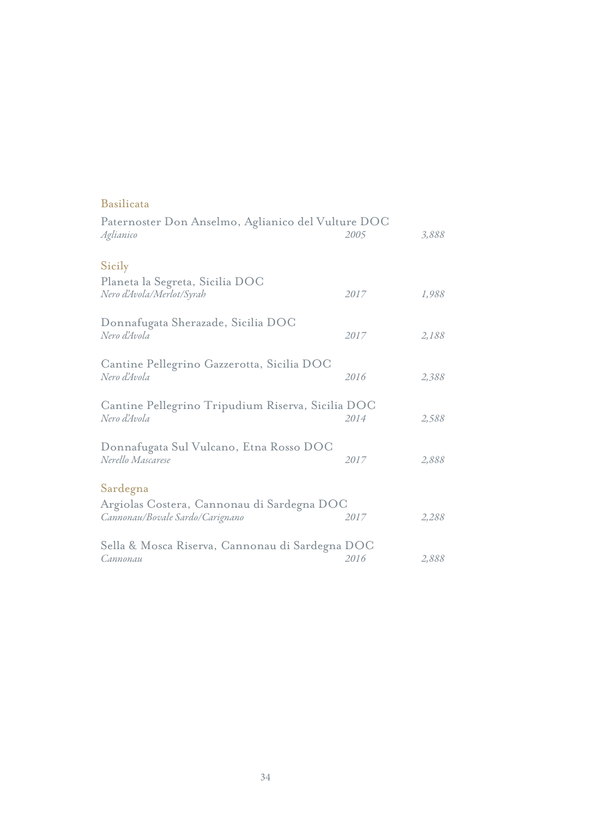| Paternoster Don Anselmo, Aglianico del Vulture DOC<br>2005 | 3,888 |
|------------------------------------------------------------|-------|
|                                                            |       |
| 2017                                                       | 1,988 |
| 2017                                                       | 2,188 |
| 2016                                                       | 2,388 |
| Cantine Pellegrino Tripudium Riserva, Sicilia DOC<br>2014  | 2,588 |
| 2017                                                       | 2,888 |
|                                                            |       |
| Argiolas Costera, Cannonau di Sardegna DOC<br>2017         | 2,288 |
| Sella & Mosca Riserva, Cannonau di Sardegna DOC            | 2,888 |
|                                                            | 2016  |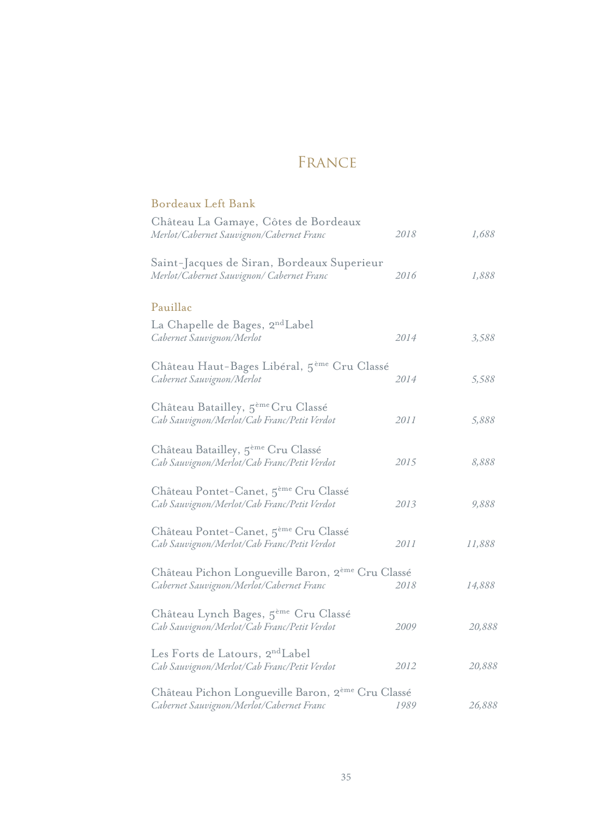### France

| Bordeaux Left Bank                                                                               |      |        |
|--------------------------------------------------------------------------------------------------|------|--------|
| Château La Gamaye, Côtes de Bordeaux<br>Merlot/Cabernet Sauvignon/Cabernet Franc                 | 2018 | 1,688  |
| Saint-Jacques de Siran, Bordeaux Superieur<br>Merlot/Cabernet Sauvignon/ Cabernet Franc          | 2016 | 1,888  |
| Pauillac                                                                                         |      |        |
| La Chapelle de Bages, 2 <sup>nd</sup> Label<br>Cabernet Sauvignon/Merlot                         | 2014 | 3,588  |
| Château Haut-Bages Libéral, 5 <sup>ème</sup> Cru Classé<br>Cabernet Sauvignon/Merlot             | 2014 | 5,588  |
| Château Batailley, 5 <sup>ème</sup> Cru Classé<br>Cab Sauvignon/Merlot/Cab Franc/Petit Verdot    | 2011 | 5,888  |
| Château Batailley, 5 <sup>ème</sup> Cru Classé<br>Cab Sauvignon/Merlot/Cab Franc/Petit Verdot    | 2015 | 8,888  |
| Château Pontet-Canet, 5 <sup>ème</sup> Cru Classé<br>Cab Sauvignon/Merlot/Cab Franc/Petit Verdot | 2013 | 9,888  |
| Château Pontet-Canet, 5 <sup>ème</sup> Cru Classé<br>Cab Sauvignon/Merlot/Cab Franc/Petit Verdot | 2011 | 11,888 |
| Château Pichon Longueville Baron, 2ème Cru Classé<br>Cabernet Sauvignon/Merlot/Cabernet Franc    | 2018 | 14,888 |
| Château Lynch Bages, 5 <sup>ème</sup> Cru Classé<br>Cab Sauvignon/Merlot/Cab Franc/Petit Verdot  | 2009 | 20,888 |
| Les Forts de Latours, 2 <sup>nd</sup> Label<br>Cab Sauvignon/Merlot/Cab Franc/Petit Verdot       | 2012 | 20,888 |
| Château Pichon Longueville Baron, 2ème Cru Classé<br>Cabernet Sauvignon/Merlot/Cabernet Franc    | 1989 | 26,888 |
|                                                                                                  |      |        |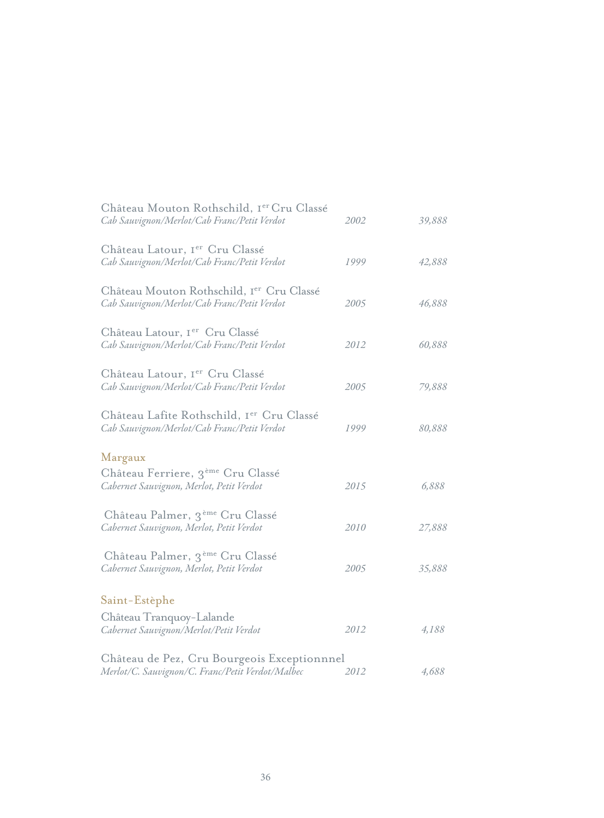| Château Mouton Rothschild, Ier Cru Classé<br>Cab Sauvignon/Merlot/Cab Franc/Petit Verdot        | 2002 | 39,888 |
|-------------------------------------------------------------------------------------------------|------|--------|
| Château Latour, Ier Cru Classé<br>Cab Sauvignon/Merlot/Cab Franc/Petit Verdot                   | 1999 | 42,888 |
| Château Mouton Rothschild, Ier Cru Classé<br>Cab Sauvignon/Merlot/Cab Franc/Petit Verdot        | 2005 | 46,888 |
| Château Latour, I <sup>er</sup> Cru Classé<br>Cab Sauvignon/Merlot/Cab Franc/Petit Verdot       | 2012 | 60,888 |
| Château Latour, Ier Cru Classé<br>Cab Sauvignon/Merlot/Cab Franc/Petit Verdot                   | 2005 | 79,888 |
| Château Lafite Rothschild, Ier Cru Classé<br>Cab Sauvignon/Merlot/Cab Franc/Petit Verdot        | 1999 | 80,888 |
| Margaux                                                                                         |      |        |
| Château Ferriere, 3 <sup>ème</sup> Cru Classé<br>Cabernet Sauvignon, Merlot, Petit Verdot       | 2015 | 6,888  |
| Château Palmer, 3 <sup>ème</sup> Cru Classé<br>Cabernet Sauvignon, Merlot, Petit Verdot         | 2010 | 27,888 |
| Château Palmer, 3 <sup>ème</sup> Cru Classé<br>Cabernet Sauvignon, Merlot, Petit Verdot         | 2005 | 35,888 |
| Saint-Estèphe                                                                                   |      |        |
| Château Tranquoy-Lalande<br>Cabernet Sauvignon/Merlot/Petit Verdot                              | 2012 | 4,188  |
| Château de Pez, Cru Bourgeois Exceptionnnel<br>Merlot/C. Sauvignon/C. Franc/Petit Verdot/Malbec | 2012 | 4,688  |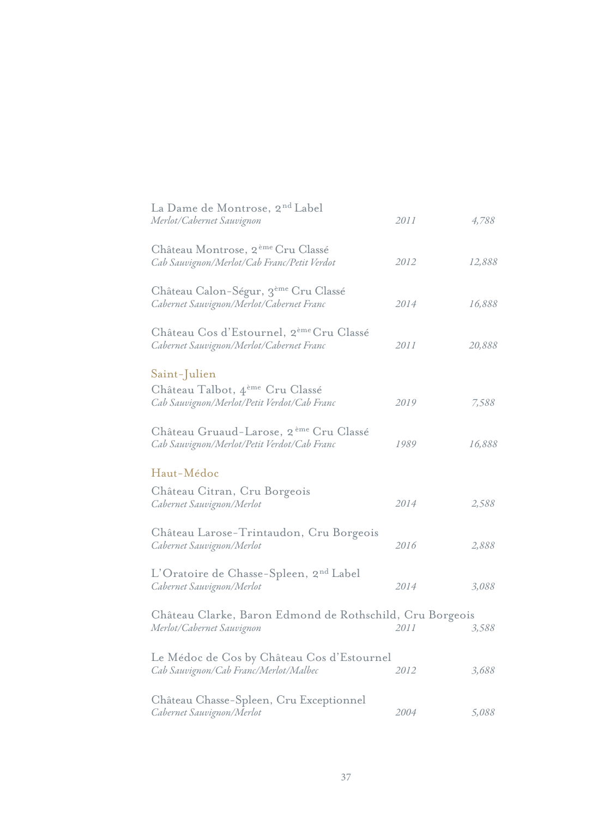| La Dame de Montrose, 2 <sup>nd</sup> Label<br>Merlot/Cabernet Sauvignon                           | 2011 | 4,788  |
|---------------------------------------------------------------------------------------------------|------|--------|
| Château Montrose, 2 <sup>ème</sup> Cru Classé<br>Cab Sauvignon/Merlot/Cab Franc/Petit Verdot      | 2012 | 12,888 |
| Château Calon-Ségur, 3 <sup>ème</sup> Cru Classé<br>Cabernet Sauvignon/Merlot/Cabernet Franc      | 2014 | 16,888 |
| Château Cos d'Estournel, 2 <sup>ème</sup> Cru Classé<br>Cabernet Sauvignon/Merlot/Cabernet Franc  | 2011 | 20,888 |
| Saint-Julien                                                                                      |      |        |
| Château Talbot, 4 <sup>ème</sup> Cru Classé<br>Cab Sauvignon/Merlot/Petit Verdot/Cab Franc        | 2019 | 7,588  |
| Château Gruaud-Larose, 2 <sup>ème</sup> Cru Classé<br>Cab Sauvignon/Merlot/Petit Verdot/Cab Franc | 1989 | 16,888 |
| Haut-Médoc                                                                                        |      |        |
| Château Citran, Cru Borgeois<br>Cabernet Sauvignon/Merlot                                         | 2014 | 2,588  |
| Château Larose-Trintaudon, Cru Borgeois<br>Cabernet Sauvignon/Merlot                              | 2016 | 2,888  |
| L'Oratoire de Chasse-Spleen, 2 <sup>nd</sup> Label<br>Cabernet Sauvignon/Merlot                   | 2014 | 3,088  |
| Château Clarke, Baron Edmond de Rothschild, Cru Borgeois<br>Merlot/Cabernet Sauvignon             | 2011 | 3,588  |
| Le Médoc de Cos by Château Cos d'Estournel<br>Cab Sauvignon/Cab Franc/Merlot/Malbec               | 2012 | 3,688  |
| Château Chasse-Spleen, Cru Exceptionnel<br>Cabernet Sauvignon/Merlot                              | 2004 | 5,088  |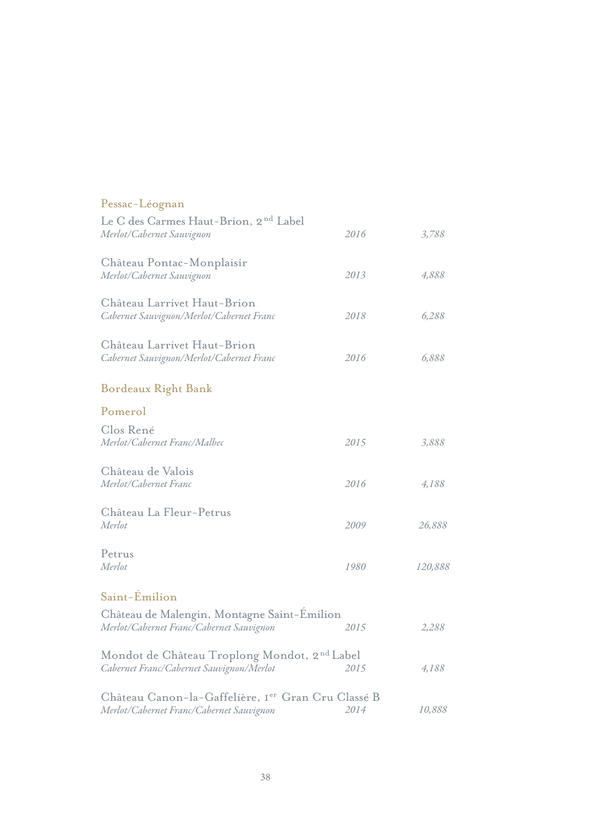| Pessac-Léognan                                                                                       |      |         |
|------------------------------------------------------------------------------------------------------|------|---------|
| Le C des Carmes Haut-Brion, 2 <sup>nd</sup> Label<br>Merlot/Cabernet Sauvignon                       | 2016 | 3,788   |
| Château Pontac-Monplaisir<br>Merlot/Cabernet Sauvignon                                               | 2013 | 4,888   |
| Château Larrivet Haut-Brion<br>Cabernet Sauvignon/Merlot/Cabernet Franc                              | 2018 | 6,288   |
| Château Larrivet Haut-Brion<br>Cabernet Sauvignon/Merlot/Cabernet Franc                              | 2016 | 6,888   |
| Bordeaux Right Bank                                                                                  |      |         |
| Pomerol                                                                                              |      |         |
| Clos René<br>Merlot/Cabernet Franc/Malbec                                                            | 2015 | 3,888   |
| Château de Valois<br>Merlot/Cabernet Franc                                                           | 2016 | 4,188   |
| Château La Fleur-Petrus<br>Merlot                                                                    | 2009 | 26,888  |
| Petrus<br>Merlot                                                                                     | 1980 | 120,888 |
| Saint-Émilion                                                                                        |      |         |
| Château de Malengin, Montagne Saint-Emilion<br>Merlot/Cabernet Franc/Cabernet Sauvignon              | 2015 | 2,288   |
| Mondot de Château Troplong Mondot, 2 <sup>nd</sup> Label<br>Cabernet Franc/Cabernet Sauvignon/Merlot | 2015 | 4,188   |
| Château Canon-la-Gaffelíère, Ier Gran Cru Classé B<br>Merlot/Cabernet Franc/Cabernet Sauvignon       | 2014 | 10,888  |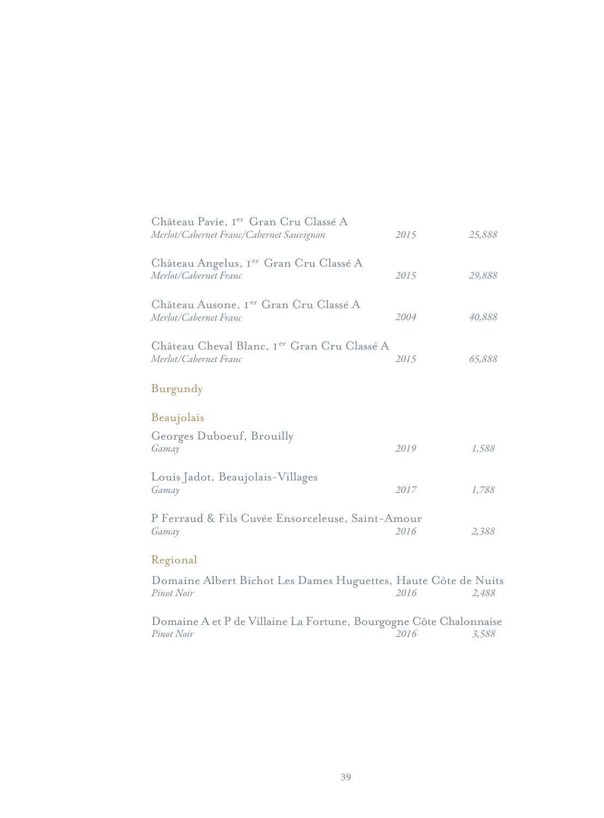| Château Pavie, Ier Gran Cru Classé A<br>Merlot/Cabernet Franc/Cabernet Sauvignon | 2015 | 25,888 |
|----------------------------------------------------------------------------------|------|--------|
| Château Angelus, I <sup>er</sup> Gran Cru Classé A<br>Merlot/Cabernet Franc      | 2015 | 29,888 |
| Château Ausone, I <sup>er</sup> Gran Cru Classé A<br>Merlot/Cabernet Franc       | 2004 | 40,888 |
| Château Cheval Blanc, I <sup>er</sup> Gran Cru Classé A<br>Merlot/Cabernet Franc | 2015 | 65,888 |
| Burgundy                                                                         |      |        |
| Beaujolais                                                                       |      |        |
| Georges Duboeuf, Brouilly<br>Gamay                                               | 2019 | 1,588  |
| Louis Jadot, Beaujolais-Villages<br>Gamay                                        | 2017 | 1,788  |
| P Ferraud & Fils Cuvée Ensorceleuse, Saint-Amour<br>Gamay                        | 2016 | 2,388  |
| Regional                                                                         |      |        |
| Domaine Albert Bichot Les Dames Huguettes, Haute Côte de Nuits<br>Pinot Noir     | 2016 | 2,488  |

*3,588 2016* Domaine A et P de Villaine La Fortune, Bourgogne Côte Chalonnaise *Pinot Noir*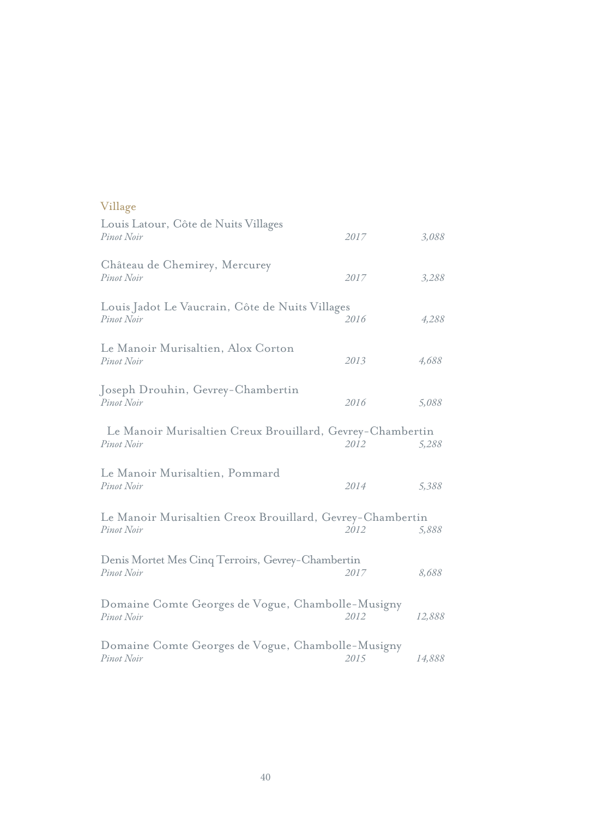| Louis Latour, Côte de Nuits Villages<br>Pinot Noir                      | 2017 | 3,088  |
|-------------------------------------------------------------------------|------|--------|
| Château de Chemirey, Mercurey<br>Pinot Noir                             | 2017 | 3,288  |
| Louis Jadot Le Vaucrain, Côte de Nuits Villages<br>Pinot Noir           | 2016 | 4,288  |
| Le Manoir Murisaltien, Alox Corton<br>Pinot Noir                        | 2013 | 4,688  |
| Joseph Drouhin, Gevrey-Chambertin<br>Pinot Noir                         | 2016 | 5,088  |
| Le Manoir Murisaltien Creux Brouillard, Gevrey-Chambertin<br>Pinot Noir | 2012 | 5,288  |
| Le Manoir Murisaltien, Pommard<br>Pinot Noir                            | 2014 | 5,388  |
| Le Manoir Murisaltien Creox Brouillard, Gevrey-Chambertin<br>Pinot Noir | 2012 | 5,888  |
| Denis Mortet Mes Cinq Terroirs, Gevrey-Chambertin<br>Pinot Noir         | 2017 | 8,688  |
| Domaine Comte Georges de Vogue, Chambolle-Musigny<br>Pinot Noir         | 2012 | 12,888 |
| Domaine Comte Georges de Vogue, Chambolle-Musigny<br>Pinot Noir         | 2015 | 14,888 |

#### Village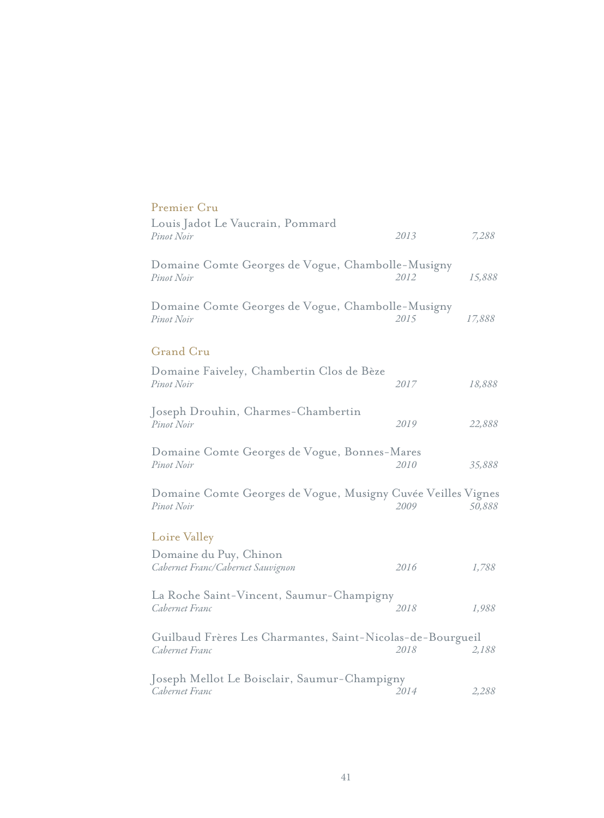| Premier Cru                                                                  |      |        |
|------------------------------------------------------------------------------|------|--------|
| Louis Jadot Le Vaucrain, Pommard<br>Pinot Noir                               | 2013 | 7,288  |
| Domaine Comte Georges de Vogue, Chambolle-Musigny<br>Pinot Noir              | 2012 | 15,888 |
| Domaine Comte Georges de Vogue, Chambolle-Musigny<br>Pinot Noir              | 2015 | 17,888 |
| <b>Grand Cru</b>                                                             |      |        |
| Domaine Faiveley, Chambertin Clos de Bèze<br>Pinot Noir                      | 2017 | 18,888 |
| Joseph Drouhin, Charmes-Chambertin<br>Pinot Noir                             | 2019 | 22,888 |
| Domaine Comte Georges de Vogue, Bonnes-Mares<br>Pinot Noir                   | 2010 | 35,888 |
| Domaine Comte Georges de Vogue, Musigny Cuvée Veilles Vignes<br>Pinot Noir   | 2009 | 50,888 |
| Loire Valley                                                                 |      |        |
| Domaine du Puy, Chinon<br>Cabernet Franc/Cabernet Sauvignon                  | 2016 | 1,788  |
| La Roche Saint-Vincent, Saumur-Champigny<br>Cabernet Franc                   | 2018 | 1,988  |
| Guilbaud Frères Les Charmantes, Saint-Nicolas-de-Bourgueil<br>Cabernet Franc | 2018 | 2,188  |
| Joseph Mellot Le Boisclair, Saumur-Champigny<br>Cabernet Franc               | 2014 | 2,288  |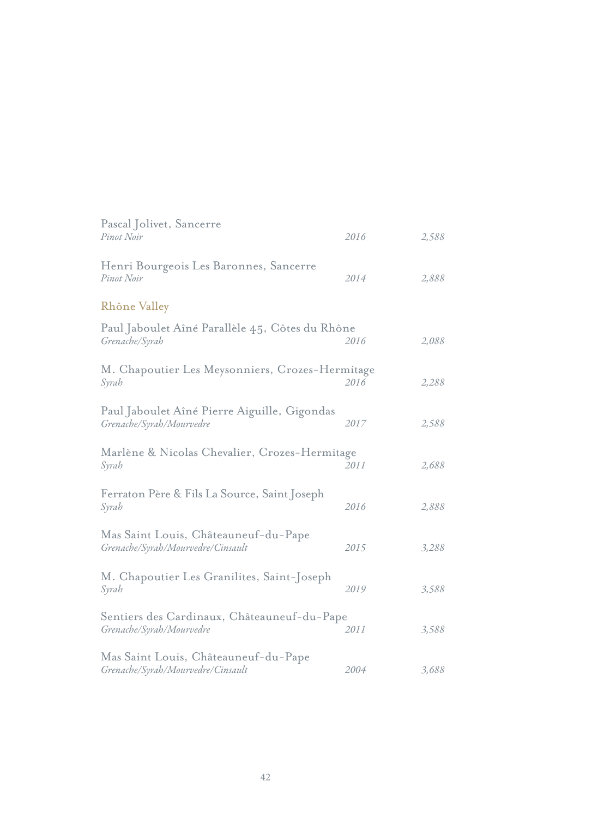| Pascal Jolivet, Sancerre<br>Pinot Noir                                    | 2016 | 2,588 |
|---------------------------------------------------------------------------|------|-------|
| Henri Bourgeois Les Baronnes, Sancerre<br>Pinot Noir                      | 2014 | 2,888 |
| Rhône Valley                                                              |      |       |
| Paul Jaboulet Aîné Parallèle 45, Côtes du Rhône<br>Grenache/Syrah         | 2016 | 2,088 |
| M. Chapoutier Les Meysonniers, Crozes-Hermitage<br>Syrah                  | 2016 | 2,288 |
| Paul Jaboulet Aîné Pierre Aiguille, Gigondas<br>Grenache/Syrah/Mourvedre  | 2017 | 2,588 |
| Marlène & Nicolas Chevalier, Crozes-Hermitage<br>Syrah                    | 2011 | 2,688 |
| Ferraton Père & Fils La Source, Saint Joseph<br>Syrah                     | 2016 | 2,888 |
| Mas Saint Louis, Châteauneuf-du-Pape<br>Grenache/Syrah/Mourvedre/Cinsault | 2015 | 3,288 |
| M. Chapoutier Les Granilites, Saint-Joseph<br>Syrah                       | 2019 | 3,588 |
| Sentiers des Cardinaux, Châteauneuf-du-Pape<br>Grenache/Syrah/Mourvedre   | 2011 | 3,588 |
| Mas Saint Louis, Châteauneuf-du-Pape<br>Grenache/Syrah/Mourvedre/Cinsault | 2004 | 3,688 |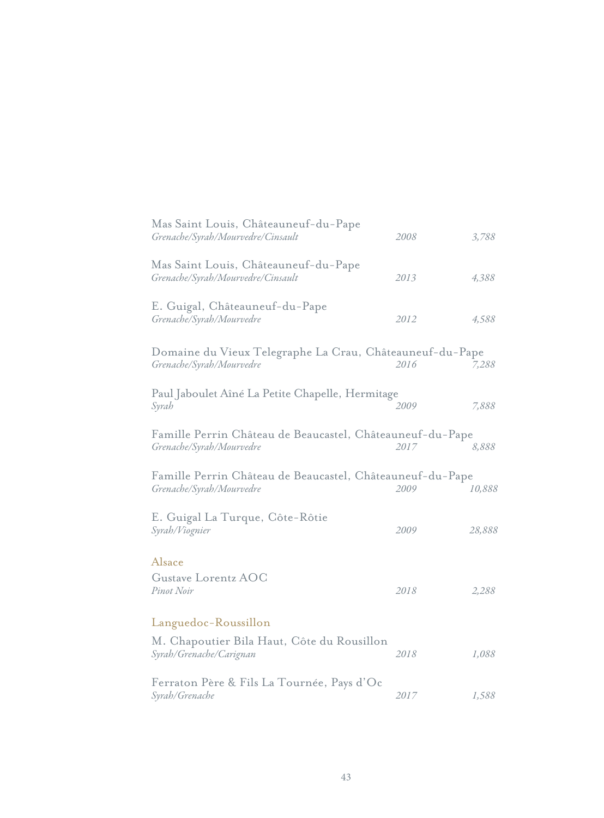| Mas Saint Louis, Châteauneuf-du-Pape<br>Grenache/Syrah/Mourvedre/Cinsault             | 2008 | 3,788  |
|---------------------------------------------------------------------------------------|------|--------|
| Mas Saint Louis, Châteauneuf-du-Pape<br>Grenache/Syrah/Mourvedre/Cinsault             | 2013 | 4,388  |
| E. Guigal, Châteauneuf-du-Pape<br>Grenache/Syrah/Mourvedre                            | 2012 | 4,588  |
| Domaine du Vieux Telegraphe La Crau, Châteauneuf-du-Pape<br>Grenache/Syrah/Mourvedre  | 2016 | 7,288  |
| Paul Jaboulet Aîné La Petite Chapelle, Hermitage<br>Syrah                             | 2009 | 7,888  |
| Famille Perrin Château de Beaucastel, Châteauneuf-du-Pape<br>Grenache/Syrah/Mourvedre | 2017 | 8,888  |
| Famille Perrin Château de Beaucastel, Châteauneuf-du-Pape<br>Grenache/Syrah/Mourvedre | 2009 | 10,888 |
| E. Guigal La Turque, Côte-Rôtie<br>Syrah/Viognier                                     | 2009 | 28,888 |
| Alsace<br>Gustave Lorentz AOC<br>Pinot Noir                                           | 2018 | 2,288  |
| Languedoc-Roussillon                                                                  |      |        |
| M. Chapoutier Bila Haut, Côte du Rousillon<br>Syrah/Grenache/Carignan                 | 2018 | 1,088  |
| Ferraton Père & Fils La Tournée, Pays d'Oc<br>Syrah/Grenache                          | 2017 | 1,588  |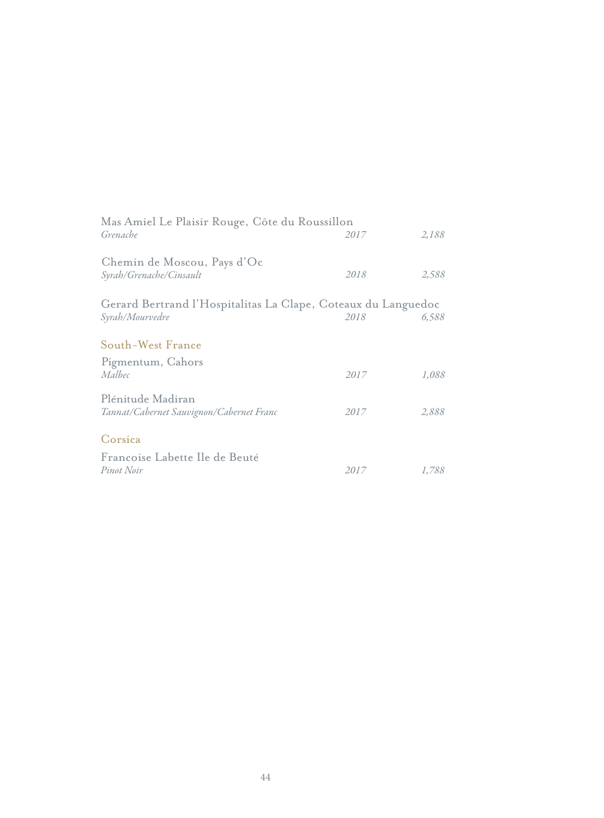| Mas Amiel Le Plaisir Rouge, Côte du Roussillon<br>Grenache                       | 2017 | 2,188 |
|----------------------------------------------------------------------------------|------|-------|
| Chemin de Moscou, Pays d'Oc<br>Syrah/Grenache/Cinsault                           | 2018 | 2,588 |
| Gerard Bertrand l'Hospitalitas La Clape, Coteaux du Languedoc<br>Syrah/Mourvedre | 2018 | 6,588 |
| South-West France                                                                |      |       |
| Pigmentum, Cahors<br>Malbec                                                      | 2017 | 1,088 |
| Plénitude Madiran<br>Tannat/Cabernet Sauvignon/Cabernet Franc                    | 2017 | 2,888 |
| Corsica                                                                          |      |       |
| Francoise Labette Ile de Beuté<br>Pinot Noir                                     | 2017 | 1,788 |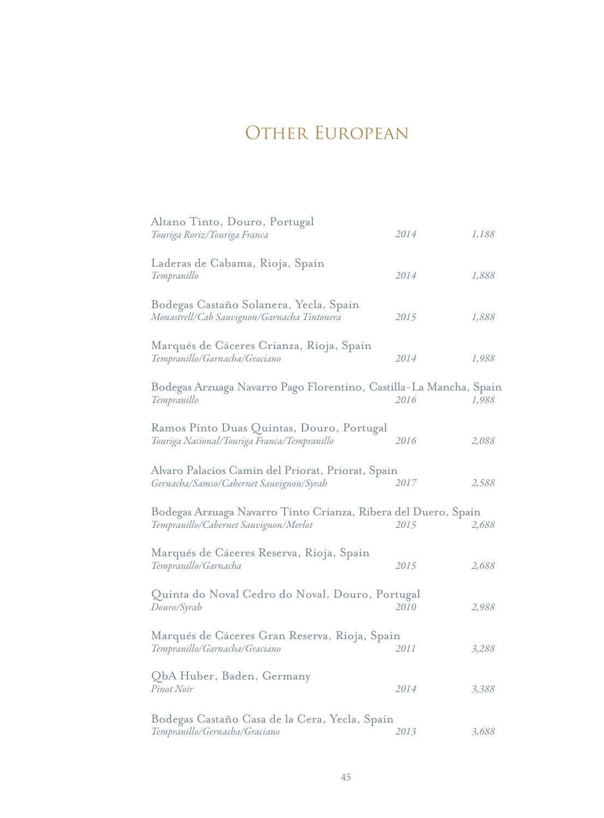# OTHER EUROPEAN

| Altano Tinto, Douro, Portugal<br>Touriga Roriz/Touriga Franca                                           | 2014 | 1,188 |
|---------------------------------------------------------------------------------------------------------|------|-------|
| Laderas de Cabama, Rioja, Spain<br>Tempranillo                                                          | 2014 | 1,888 |
| Bodegas Castaño Solanera, Yecla, Spain<br>Monastrell/Cab Sauvignon/Garnacha Tintonera                   | 2015 | 1,888 |
| Marqués de Cáceres Crianza, Rioja, Spain<br>Tempranillo/Garnacha/Graciano                               | 2014 | 1,988 |
| Bodegas Arzuaga Navarro Pago Florentino, Castilla-La Mancha, Spain<br>Tempranillo                       | 2016 | 1,988 |
| Ramos Pinto Duas Quintas, Douro, Portugal<br>Touriga Nacional/Touriga Franca/Tempranillo                | 2016 | 2,088 |
| Alvaro Palacios Camin del Priorat, Priorat, Spain<br>Gernacha/Samso/Cabernet Sauvignon/Syrah            | 2017 | 2,588 |
| Bodegas Arzuaga Navarro Tinto Crianza, Ribera del Duero, Spain<br>Tempranillo/Cabernet Sauvignon/Merlot | 2015 | 2,688 |
| Marqués de Cáceres Reserva, Rioja, Spain<br>Tempranillo/Garnacha                                        | 2015 | 2,688 |
| Quinta do Noval Cedro do Noval, Douro, Portugal<br>Douro/Syrah                                          | 2010 | 2,988 |
| Marqués de Cáceres Gran Reserva, Rioja, Spain<br>Tempranillo/Garnacha/Graciano                          | 2011 | 3,288 |
| QbA Huber, Baden, Germany<br>Pinot Noir                                                                 | 2014 | 3,388 |
| Bodegas Castaño Casa de la Cera, Yecla, Spain<br>Tempranillo/Gernacha/Graciano                          | 2013 | 3,688 |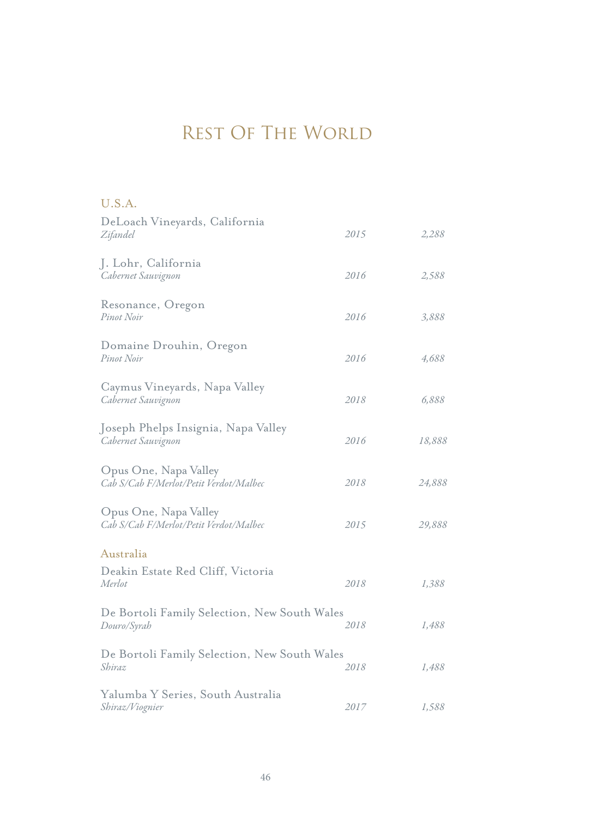# REST OF THE WORLD

| U.S.A.                                                          |      |        |
|-----------------------------------------------------------------|------|--------|
| DeLoach Vineyards, California<br>Zifandel                       | 2015 | 2,288  |
| J. Lohr, California<br>Cabernet Sauvignon                       | 2016 | 2,588  |
| Resonance, Oregon<br>Pinot Noir                                 | 2016 | 3,888  |
| Domaine Drouhin, Oregon<br>Pinot Noir                           | 2016 | 4,688  |
| Caymus Vineyards, Napa Valley<br>Cabernet Sauvignon             | 2018 | 6,888  |
| Joseph Phelps Insignia, Napa Valley<br>Cabernet Sauvignon       | 2016 | 18,888 |
| Opus One, Napa Valley<br>Cab S/Cab F/Merlot/Petit Verdot/Malbec | 2018 | 24,888 |
| Opus One, Napa Valley<br>Cab S/Cab F/Merlot/Petit Verdot/Malbec | 2015 | 29,888 |
| Australia                                                       |      |        |
| Deakin Estate Red Cliff, Victoria<br>Merlot                     | 2018 | 1,388  |
| De Bortoli Family Selection, New South Wales<br>Douro/Syrah     | 2018 | 1,488  |
| De Bortoli Family Selection, New South Wales<br>Shiraz          | 2018 | 1,488  |
| Yalumba Y Series, South Australia<br>Shiraz/Viognier            | 2017 | 1,588  |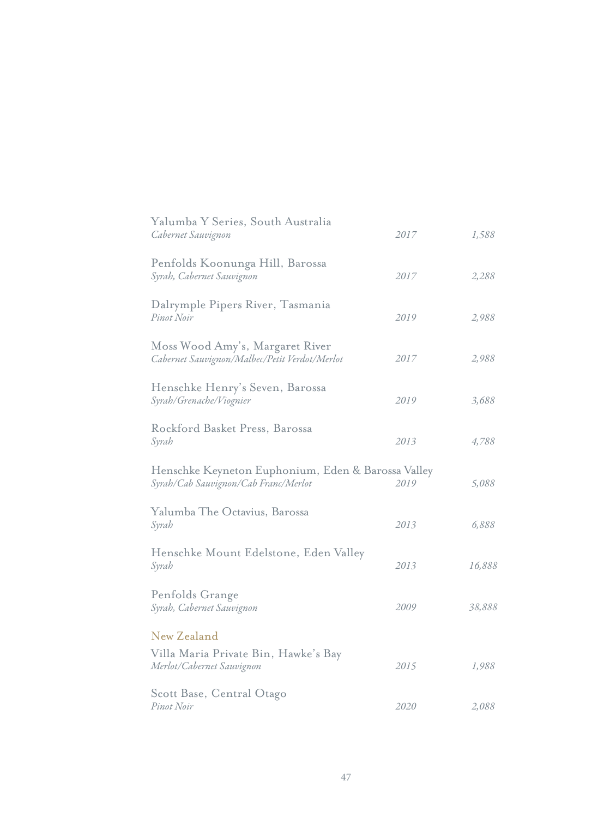| Yalumba Y Series, South Australia<br>Cabernet Sauvignon                                    | 2017 | 1,588  |
|--------------------------------------------------------------------------------------------|------|--------|
| Penfolds Koonunga Hill, Barossa<br>Syrah, Cabernet Sauvignon                               | 2017 | 2,288  |
| Dalrymple Pipers River, Tasmania<br>Pinot Noir                                             | 2019 | 2,988  |
| Moss Wood Amy's, Margaret River<br>Cabernet Sauvignon/Malbec/Petit Verdot/Merlot           | 2017 | 2,988  |
| Henschke Henry's Seven, Barossa<br>Syrah/Grenache/Viognier                                 | 2019 | 3,688  |
| Rockford Basket Press, Barossa<br>Syrah                                                    | 2013 | 4,788  |
| Henschke Keyneton Euphonium, Eden & Barossa Valley<br>Syrah/Cab Sauvignon/Cab Franc/Merlot | 2019 | 5,088  |
| Yalumba The Octavius, Barossa<br>Syrah                                                     | 2013 | 6,888  |
| Henschke Mount Edelstone, Eden Valley<br>Syrah                                             | 2013 | 16,888 |
| Penfolds Grange<br>Syrah, Cabernet Sauvignon                                               | 2009 | 38,888 |
| New Zealand                                                                                |      |        |
| Villa Maria Private Bin, Hawke's Bay<br>Merlot/Cabernet Sauvignon                          | 2015 | 1,988  |
| Scott Base, Central Otago<br>Pinot Noir                                                    | 2020 | 2,088  |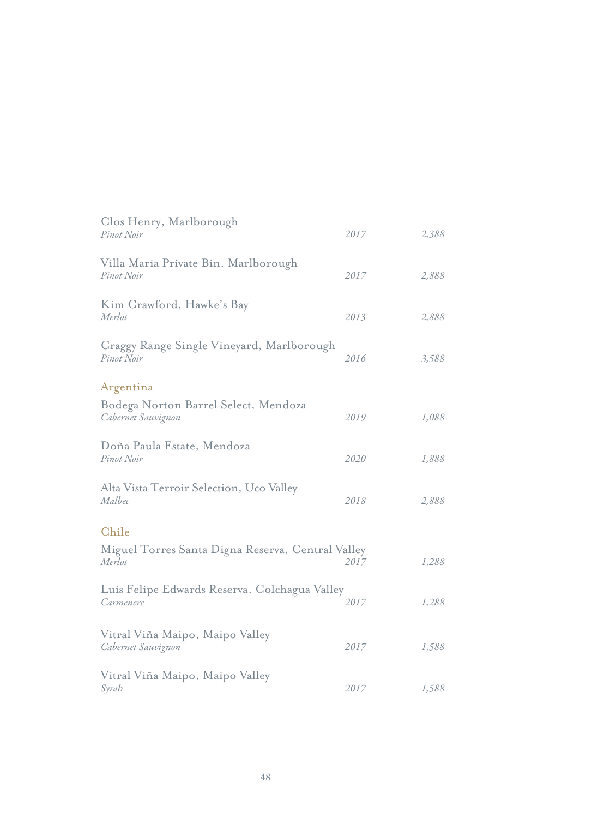| Clos Henry, Marlborough<br>Pinot Noir                       | 2017 | 2,388 |
|-------------------------------------------------------------|------|-------|
| Villa Maria Private Bin, Marlborough<br>Pinot Noir          | 2017 | 2,888 |
| Kim Crawford, Hawke's Bay<br>Merlot                         | 2013 | 2,888 |
| Craggy Range Single Vineyard, Marlborough<br>Pinot Noir     | 2016 | 3,588 |
| Argentina                                                   |      |       |
| Bodega Norton Barrel Select, Mendoza<br>Cabernet Sauvignon  | 2019 | 1,088 |
| Doña Paula Estate, Mendoza<br>Pinot Noir                    | 2020 | 1,888 |
| Alta Vista Terroir Selection, Uco Valley<br>Malbec          | 2018 | 2,888 |
| Chile                                                       |      |       |
| Miguel Torres Santa Digna Reserva, Central Valley<br>Merlot | 2017 | 1,288 |
| Luis Felipe Edwards Reserva, Colchagua Valley<br>Carmenere  | 2017 | 1,288 |
| Vitral Viña Maipo, Maipo Valley<br>Cabernet Sauvignon       | 2017 | 1,588 |
| Vitral Viña Maipo, Maipo Valley<br>Syrah                    | 2017 | 1,588 |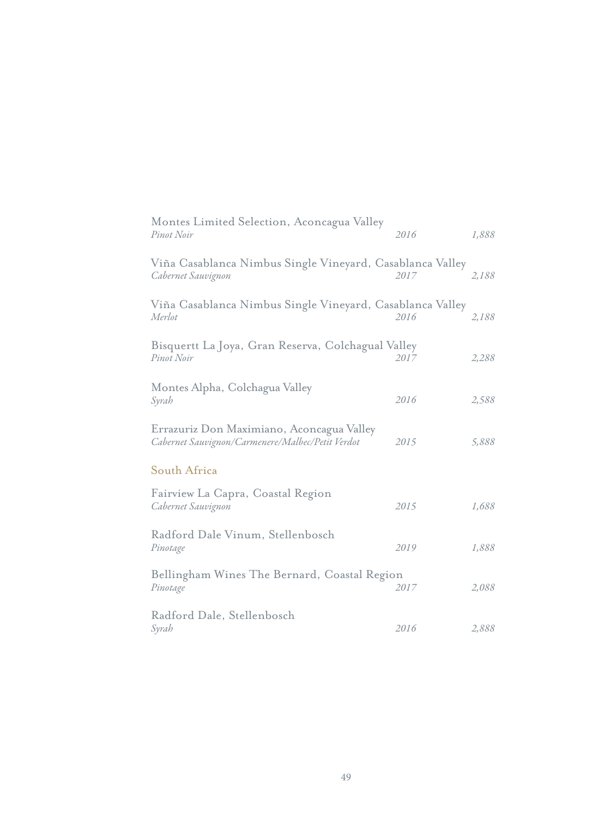| Montes Limited Selection, Aconcagua Valley<br>Pinot Noir                                      | 2016 | 1,888 |
|-----------------------------------------------------------------------------------------------|------|-------|
| Viña Casablanca Nimbus Single Vineyard, Casablanca Valley<br>Cabernet Sauvignon               | 2017 | 2,188 |
| Viña Casablanca Nimbus Single Vineyard, Casablanca Valley<br>Merlot                           | 2016 | 2,188 |
| Bisquertt La Joya, Gran Reserva, Colchagual Valley<br>Pinot Noir                              | 2017 | 2,288 |
| Montes Alpha, Colchagua Valley<br>Syrah                                                       | 2016 | 2,588 |
| Errazuriz Don Maximiano, Aconcagua Valley<br>Cabernet Sauvignon/Carmenere/Malbec/Petit Verdot | 2015 | 5,888 |
| South Africa                                                                                  |      |       |
| Fairview La Capra, Coastal Region<br>Cabernet Sauvignon                                       | 2015 | 1,688 |
| Radford Dale Vinum, Stellenbosch<br>Pinotage                                                  | 2019 | 1,888 |
| Bellingham Wines The Bernard, Coastal Region<br>Pinotage                                      | 2017 | 2,088 |
| Radford Dale, Stellenbosch<br>Syrah                                                           | 2016 | 2,888 |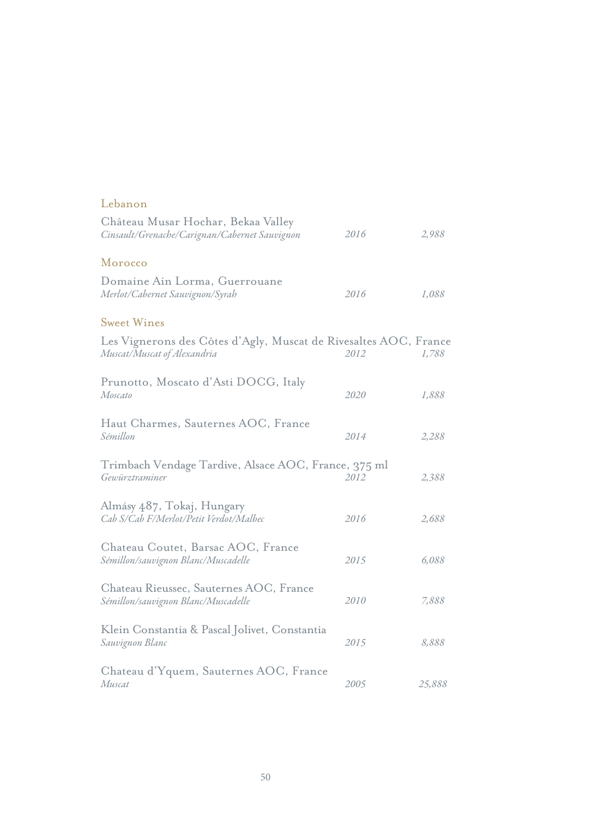| Château Musar Hochar, Bekaa Valley<br>Cinsault/Grenache/Carignan/Cabernet Sauvignon             | 2016 | 2,988  |
|-------------------------------------------------------------------------------------------------|------|--------|
| Morocco                                                                                         |      |        |
| Domaine Ain Lorma, Guerrouane<br>Merlot/Cabernet Sauvignon/Syrah                                | 2016 | 1,088  |
| <b>Sweet Wines</b>                                                                              |      |        |
| Les Vignerons des Côtes d'Agly, Muscat de Rivesaltes AOC, France<br>Muscat/Muscat of Alexandria | 2012 | 1,788  |
| Prunotto, Moscato d'Asti DOCG, Italy<br>Moscato                                                 | 2020 | 1,888  |
| Haut Charmes, Sauternes AOC, France<br>Sémillon                                                 | 2014 | 2,288  |
| Trimbach Vendage Tardive, Alsace AOC, France, 375 ml<br>Gewürztraminer                          | 2012 | 2,388  |
| Almásy 487, Tokaj, Hungary<br>Cab S/Cab F/Merlot/Petit Verdot/Malbec                            | 2016 | 2,688  |
| Chateau Coutet, Barsac AOC, France<br>Sémillon/sauvignon Blanc/Muscadelle                       | 2015 | 6,088  |
| Chateau Rieussec, Sauternes AOC, France<br>Sémillon/sauvignon Blanc/Muscadelle                  | 2010 | 7,888  |
| Klein Constantia & Pascal Jolivet, Constantia<br>Sauvignon Blanc                                | 2015 | 8,888  |
| Chateau d'Yquem, Sauternes AOC, France<br>Muscat                                                | 2005 | 25,888 |

Lebanon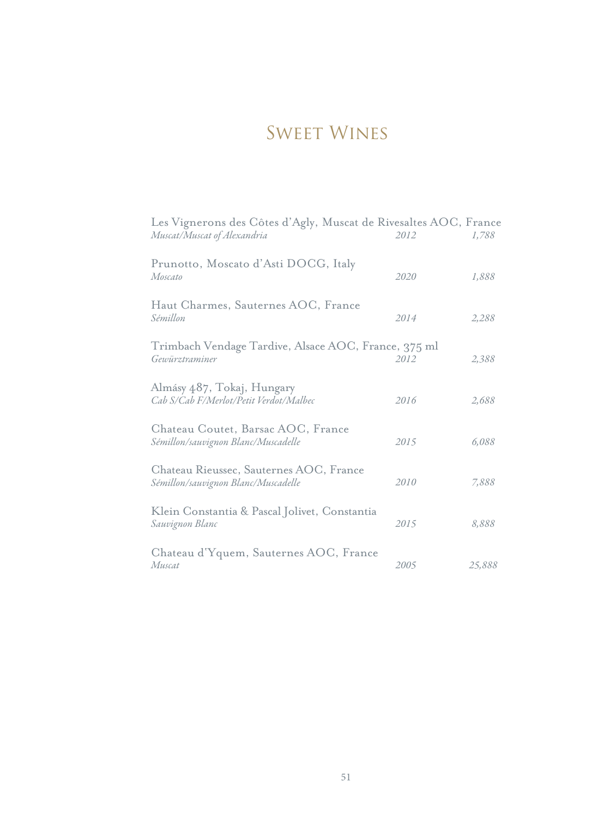# Sweet Wines

| Les Vignerons des Côtes d'Agly, Muscat de Rivesaltes AOC, France<br>Muscat/Muscat of Alexandria | 2012 | 1,788  |
|-------------------------------------------------------------------------------------------------|------|--------|
| Prunotto, Moscato d'Asti DOCG, Italy<br>Moscato                                                 | 2020 | 1,888  |
| Haut Charmes, Sauternes AOC, France<br>Sémillon                                                 | 2014 | 2,288  |
| Trimbach Vendage Tardive, Alsace AOC, France, 375 ml<br>Gewürztraminer                          | 2012 | 2,388  |
| Almásy 487, Tokaj, Hungary<br>Cab S/Cab F/Merlot/Petit Verdot/Malbec                            | 2016 | 2,688  |
| Chateau Coutet, Barsac AOC, France<br>Sémillon/sauvignon Blanc/Muscadelle                       | 2015 | 6,088  |
| Chateau Rieussec, Sauternes AOC, France<br>Sémillon/sauvignon Blanc/Muscadelle                  | 2010 | 7,888  |
| Klein Constantia & Pascal Jolivet, Constantia<br>Sauvignon Blanc                                | 2015 | 8,888  |
| Chateau d'Yquem, Sauternes AOC, France<br>Muscat                                                | 2005 | 25,888 |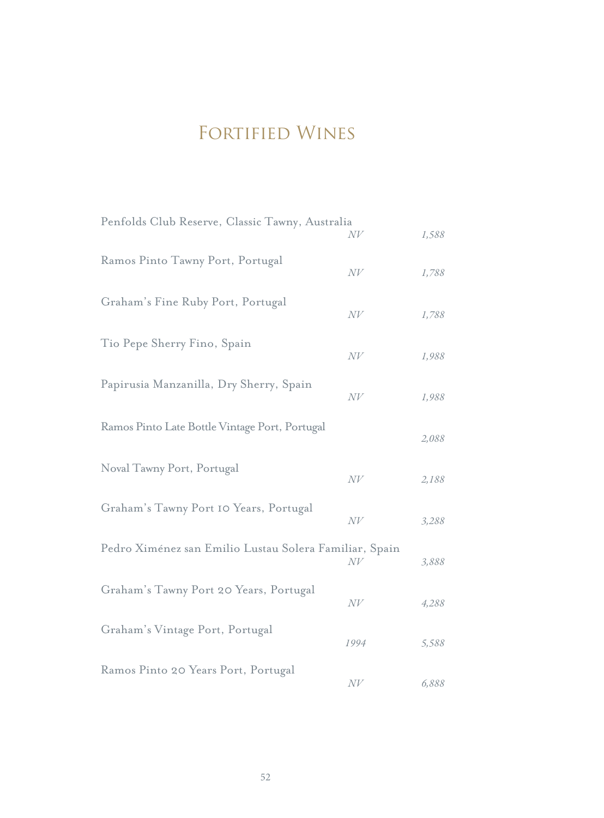# FORTIFIED WINES

| Penfolds Club Reserve, Classic Tawny, Australia        | N V    | 1,588 |
|--------------------------------------------------------|--------|-------|
| Ramos Pinto Tawny Port, Portugal                       | N V    | 1,788 |
| Graham's Fine Ruby Port, Portugal                      | N V    | 1,788 |
| Tio Pepe Sherry Fino, Spain                            | N V    | 1,988 |
| Papirusia Manzanilla, Dry Sherry, Spain                | N V    | 1,988 |
| Ramos Pinto Late Bottle Vintage Port, Portugal         |        | 2,088 |
| Noval Tawny Port, Portugal                             | N V    | 2,188 |
| Graham's Tawny Port 10 Years, Portugal                 | N V    | 3,288 |
| Pedro Ximénez san Emilio Lustau Solera Familiar, Spain | N V    | 3,888 |
| Graham's Tawny Port 20 Years, Portugal                 | $N\!V$ | 4,288 |
| Graham's Vintage Port, Portugal                        | 1994   | 5,588 |
| Ramos Pinto 20 Years Port, Portugal                    | N V    | 6,888 |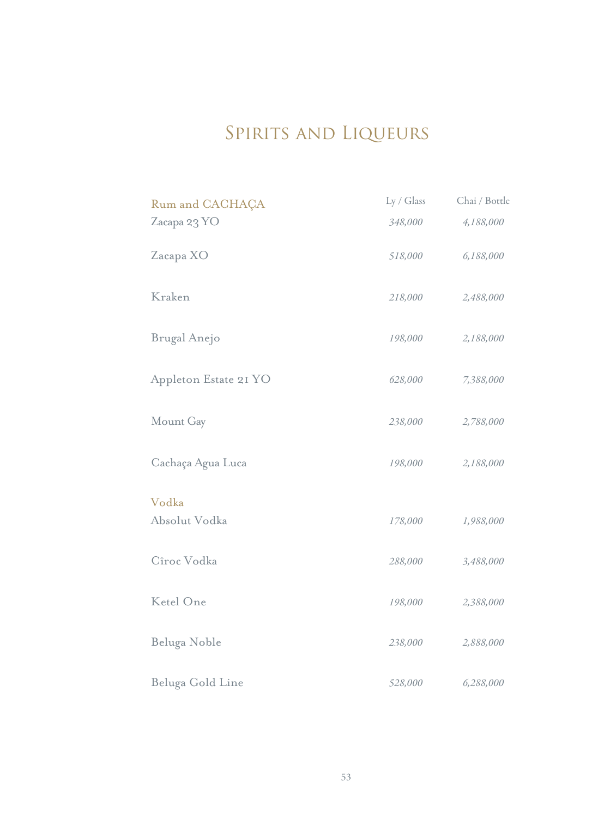# SPIRITS AND LIQUEURS

| Rum and CACHAÇA       | Ly / Glass | Chai / Bottle |
|-----------------------|------------|---------------|
| Zacapa 23 YO          | 348,000    | 4,188,000     |
| Zacapa XO             | 518,000    | 6,188,000     |
| Kraken                | 218,000    | 2,488,000     |
| Brugal Anejo          | 198,000    | 2,188,000     |
| Appleton Estate 21 YO | 628,000    | 7,388,000     |
| Mount Gay             | 238,000    | 2,788,000     |
| Cachaça Agua Luca     | 198,000    | 2,188,000     |
| Vodka                 |            |               |
| Absolut Vodka         | 178,000    | 1,988,000     |
| Cîroc Vodka           | 288,000    | 3,488,000     |
| Ketel One             | 198,000    | 2,388,000     |
| Beluga Noble          | 238,000    | 2,888,000     |
| Beluga Gold Line      | 528,000    | 6,288,000     |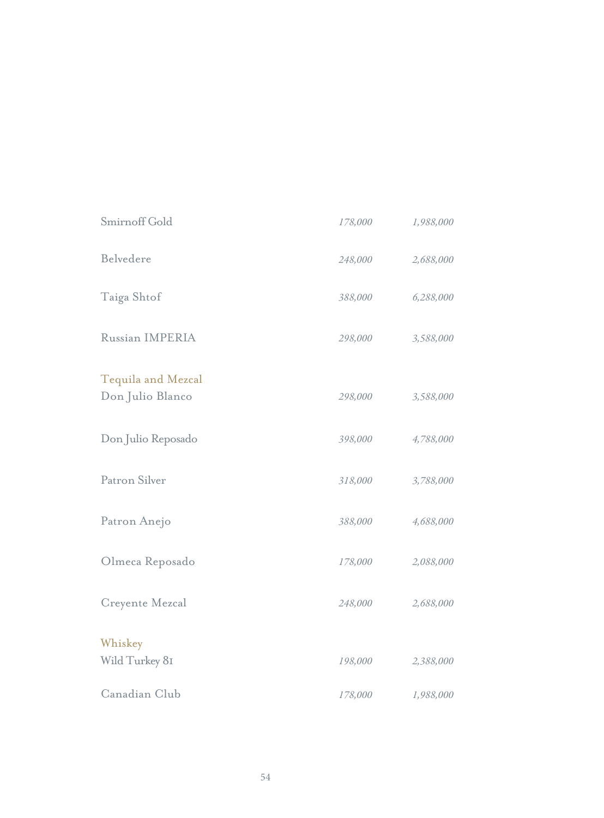| Smirnoff Gold                          | 178,000 | 1,988,000 |
|----------------------------------------|---------|-----------|
| Belvedere                              | 248,000 | 2,688,000 |
| Taiga Shtof                            | 388,000 | 6,288,000 |
| Russian IMPERIA                        | 298,000 | 3,588,000 |
| Tequila and Mezcal<br>Don Julio Blanco | 298,000 | 3,588,000 |
| Don Julio Reposado                     | 398,000 | 4,788,000 |
| Patron Silver                          | 318,000 | 3,788,000 |
| Patron Anejo                           | 388,000 | 4,688,000 |
| Olmeca Reposado                        | 178,000 | 2,088,000 |
| Creyente Mezcal                        | 248,000 | 2,688,000 |
| Whiskey<br>Wild Turkey 81              | 198,000 | 2,388,000 |
| Canadian Club                          | 178,000 | 1,988,000 |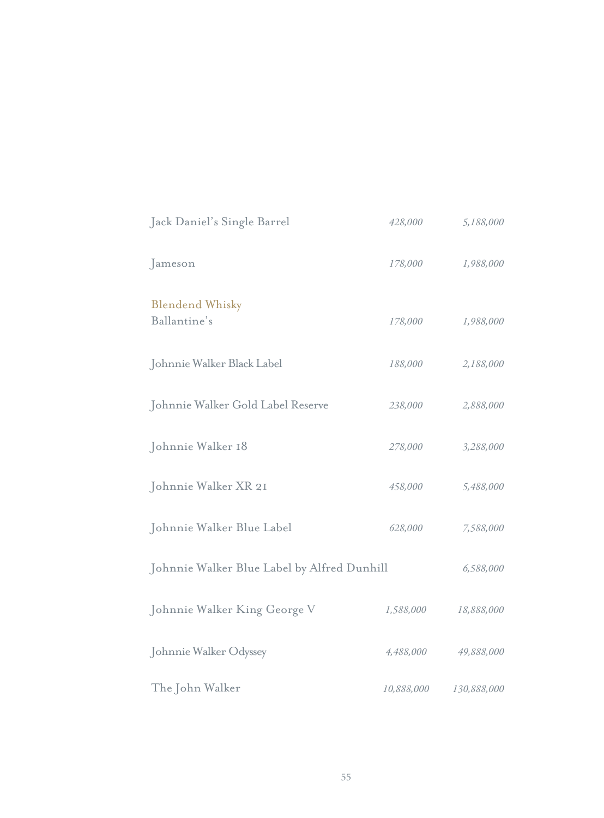| Jack Daniel's Single Barrel                 | 428,000    | 5,188,000   |
|---------------------------------------------|------------|-------------|
| Jameson                                     | 178,000    | 1,988,000   |
| <b>Blendend Whisky</b><br>Ballantine's      | 178,000    | 1,988,000   |
| Johnnie Walker Black Label                  | 188,000    | 2,188,000   |
| Johnnie Walker Gold Label Reserve           | 238,000    | 2,888,000   |
| Johnnie Walker 18                           | 278,000    | 3,288,000   |
| Johnnie Walker XR 21                        | 458,000    | 5,488,000   |
| Johnnie Walker Blue Label                   | 628,000    | 7,588,000   |
| Johnnie Walker Blue Label by Alfred Dunhill |            | 6,588,000   |
| Johnnie Walker King George V                | 1,588,000  | 18,888,000  |
| Johnnie Walker Odyssey                      | 4,488,000  | 49,888,000  |
| The John Walker                             | 10,888,000 | 130,888,000 |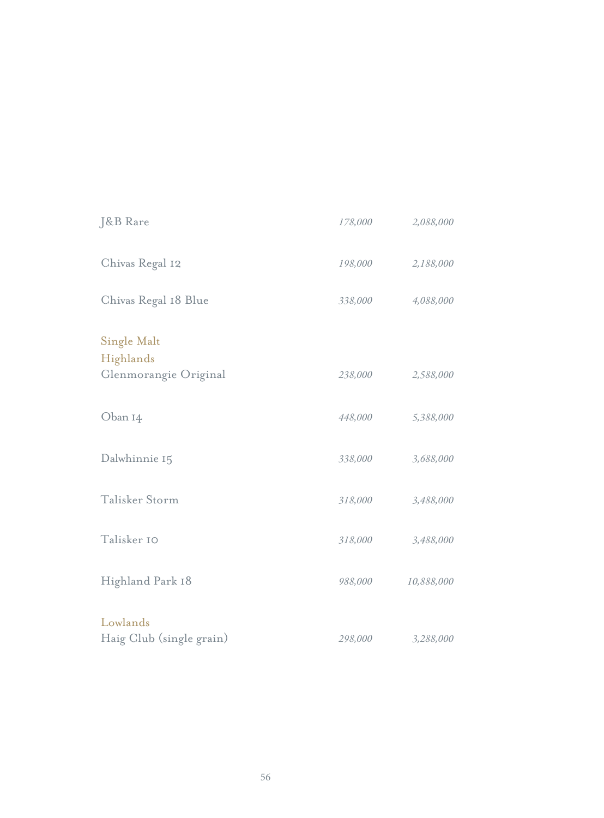| J&B Rare                             | 178,000 | 2,088,000  |
|--------------------------------------|---------|------------|
| Chivas Regal 12                      | 198,000 | 2,188,000  |
| Chivas Regal 18 Blue                 | 338,000 | 4,088,000  |
| <b>Single Malt</b>                   |         |            |
| Highlands<br>Glenmorangie Original   | 238,000 | 2,588,000  |
| Oban 14                              | 448,000 | 5,388,000  |
| Dalwhinnie 15                        | 338,000 | 3,688,000  |
| Talisker Storm                       | 318,000 | 3,488,000  |
| Talisker 10                          | 318,000 | 3,488,000  |
| Highland Park 18                     | 988,000 | 10,888,000 |
| Lowlands<br>Haig Club (single grain) | 298,000 | 3,288,000  |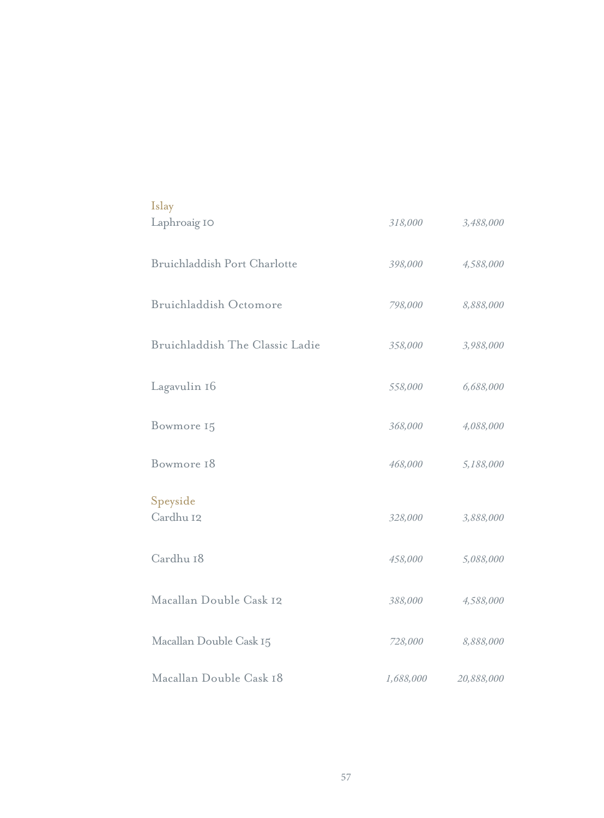| Islay                           |           |            |
|---------------------------------|-----------|------------|
| Laphroaig IO                    | 318,000   | 3,488,000  |
| Bruichladdish Port Charlotte    | 398,000   | 4,588,000  |
| Bruichladdish Octomore          | 798,000   | 8,888,000  |
| Bruichladdish The Classic Ladie | 358,000   | 3,988,000  |
| Lagavulin 16                    | 558,000   | 6,688,000  |
| Bowmore 15                      | 368,000   | 4,088,000  |
| Bowmore 18                      | 468,000   | 5,188,000  |
| Speyside<br>Cardhu 12           | 328,000   | 3,888,000  |
| Cardhu 18                       | 458,000   | 5,088,000  |
| Macallan Double Cask 12         | 388,000   | 4,588,000  |
| Macallan Double Cask 15         | 728,000   | 8,888,000  |
| Macallan Double Cask 18         | 1,688,000 | 20,888,000 |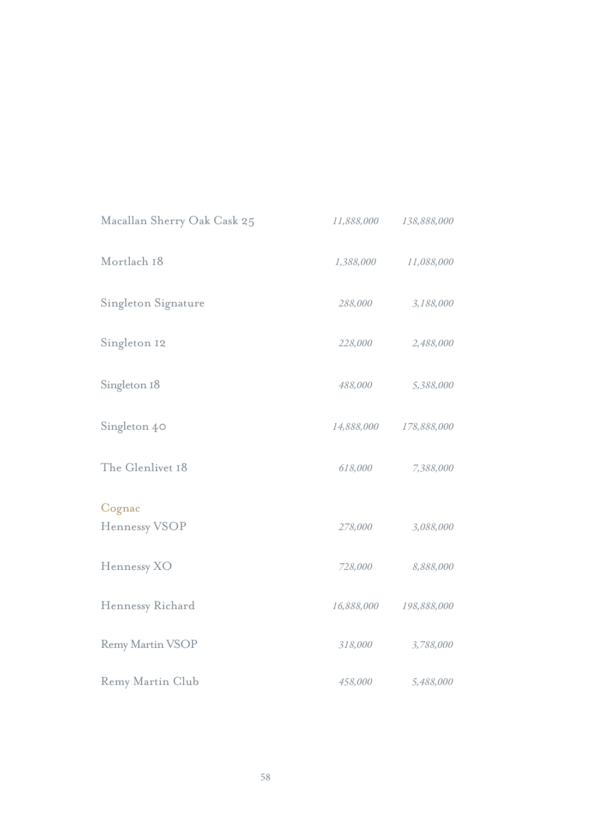| Macallan Sherry Oak Cask 25 | 11,888,000 | 138,888,000 |
|-----------------------------|------------|-------------|
| Mortlach 18                 | 1,388,000  | 11,088,000  |
| Singleton Signature         | 288,000    | 3,188,000   |
| Singleton 12                | 228,000    | 2,488,000   |
| Singleton 18                | 488,000    | 5,388,000   |
| Singleton 40                | 14,888,000 | 178,888,000 |
| The Glenlivet 18            | 618,000    | 7,388,000   |
| Cognac<br>Hennessy VSOP     | 278,000    | 3,088,000   |
| Hennessy XO                 | 728,000    | 8,888,000   |
| Hennessy Richard            | 16,888,000 | 198,888,000 |
| <b>Remy Martin VSOP</b>     | 318,000    | 3,788,000   |
| Remy Martin Club            | 458,000    | 5,488,000   |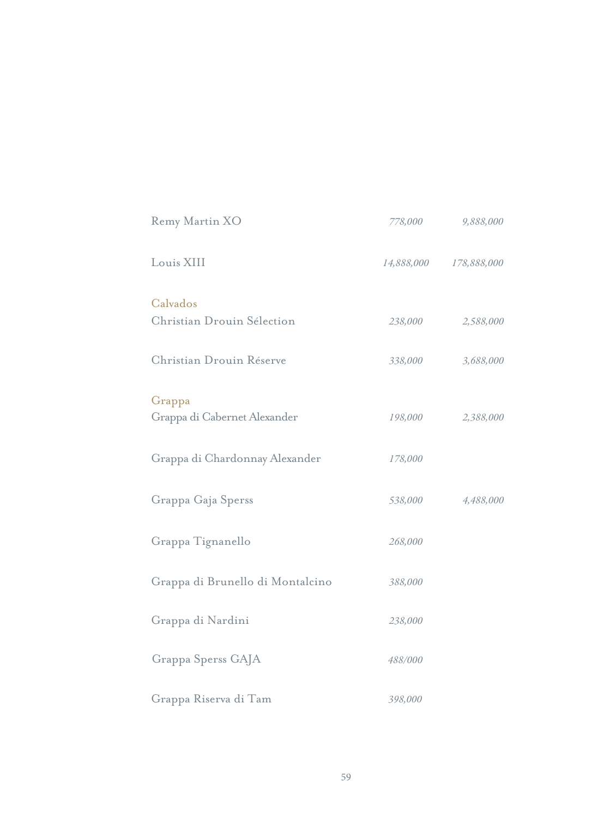| Remy Martin XO                         | 778,000 | 9,888,000              |
|----------------------------------------|---------|------------------------|
| Louis XIII                             |         | 14,888,000 178,888,000 |
| Calvados<br>Christian Drouin Sélection | 238,000 | 2,588,000              |
| Christian Drouin Réserve               | 338,000 | 3,688,000              |
| Grappa<br>Grappa di Cabernet Alexander | 198,000 | 2,388,000              |
| Grappa di Chardonnay Alexander         | 178,000 |                        |
| Grappa Gaja Sperss                     | 538,000 | 4,488,000              |
| Grappa Tignanello                      | 268,000 |                        |
| Grappa di Brunello di Montalcino       | 388,000 |                        |
| Grappa di Nardini                      | 238,000 |                        |
| Grappa Sperss GAJA                     | 488/000 |                        |
| Grappa Riserva di Tam                  | 398,000 |                        |